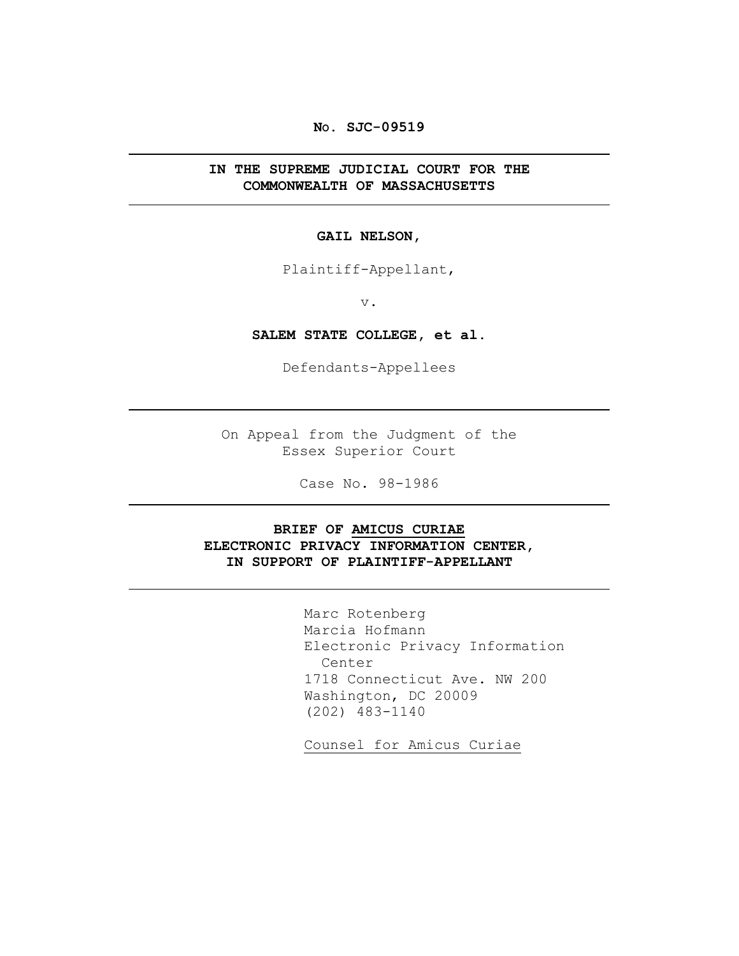### **NO. SJC-09519**

### **IN THE SUPREME JUDICIAL COURT FOR THE COMMONWEALTH OF MASSACHUSETTS**

#### **GAIL NELSON,**

Plaintiff-Appellant,

v.

**SALEM STATE COLLEGE, et al.**

Defendants-Appellees

On Appeal from the Judgment of the Essex Superior Court

Case No. 98-1986

### **BRIEF OF AMICUS CURIAE ELECTRONIC PRIVACY INFORMATION CENTER, IN SUPPORT OF PLAINTIFF-APPELLANT**

Marc Rotenberg Marcia Hofmann Electronic Privacy Information Center 1718 Connecticut Ave. NW 200 Washington, DC 20009 (202) 483-1140

Counsel for Amicus Curiae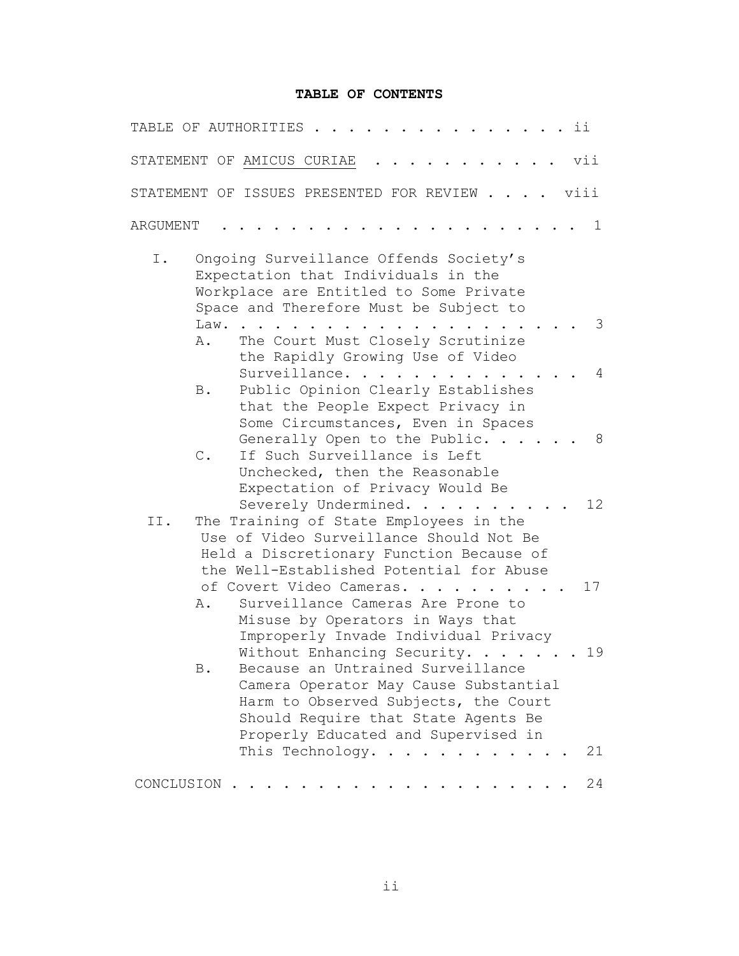### **TABLE OF CONTENTS**

| TABLE OF AUTHORITIES<br>ii                                                                                                                                                                                                                          |  |
|-----------------------------------------------------------------------------------------------------------------------------------------------------------------------------------------------------------------------------------------------------|--|
| vii<br>STATEMENT OF AMICUS CURIAE                                                                                                                                                                                                                   |  |
| viii<br>STATEMENT OF ISSUES PRESENTED FOR REVIEW                                                                                                                                                                                                    |  |
| 1<br>ARGUMENT                                                                                                                                                                                                                                       |  |
| Ongoing Surveillance Offends Society's<br>Ι.<br>Expectation that Individuals in the<br>Workplace are Entitled to Some Private<br>Space and Therefore Must be Subject to<br>Law.<br>3                                                                |  |
| The Court Must Closely Scrutinize<br>Α.<br>the Rapidly Growing Use of Video<br>Surveillance.<br>4                                                                                                                                                   |  |
| Public Opinion Clearly Establishes<br><b>B</b> .<br>that the People Expect Privacy in<br>Some Circumstances, Even in Spaces                                                                                                                         |  |
| Generally Open to the Public.<br>8<br>If Such Surveillance is Left<br>$\mathsf C$ .<br>Unchecked, then the Reasonable<br>Expectation of Privacy Would Be                                                                                            |  |
| 12 <sup>°</sup><br>Severely Undermined.<br>The Training of State Employees in the<br>II.<br>Use of Video Surveillance Should Not Be<br>Held a Discretionary Function Because of<br>the Well-Established Potential for Abuse                         |  |
| of Covert Video Cameras.<br>17<br>Surveillance Cameras Are Prone to<br>Α.<br>Misuse by Operators in Ways that<br>Improperly Invade Individual Privacy                                                                                               |  |
| Without Enhancing Security.<br>19<br>Because an Untrained Surveillance<br><b>B</b> .<br>Camera Operator May Cause Substantial<br>Harm to Observed Subjects, the Court<br>Should Require that State Agents Be<br>Properly Educated and Supervised in |  |
| This Technology.<br>21<br>$\sim$ $\sim$                                                                                                                                                                                                             |  |
| 24<br>CONCLUSION                                                                                                                                                                                                                                    |  |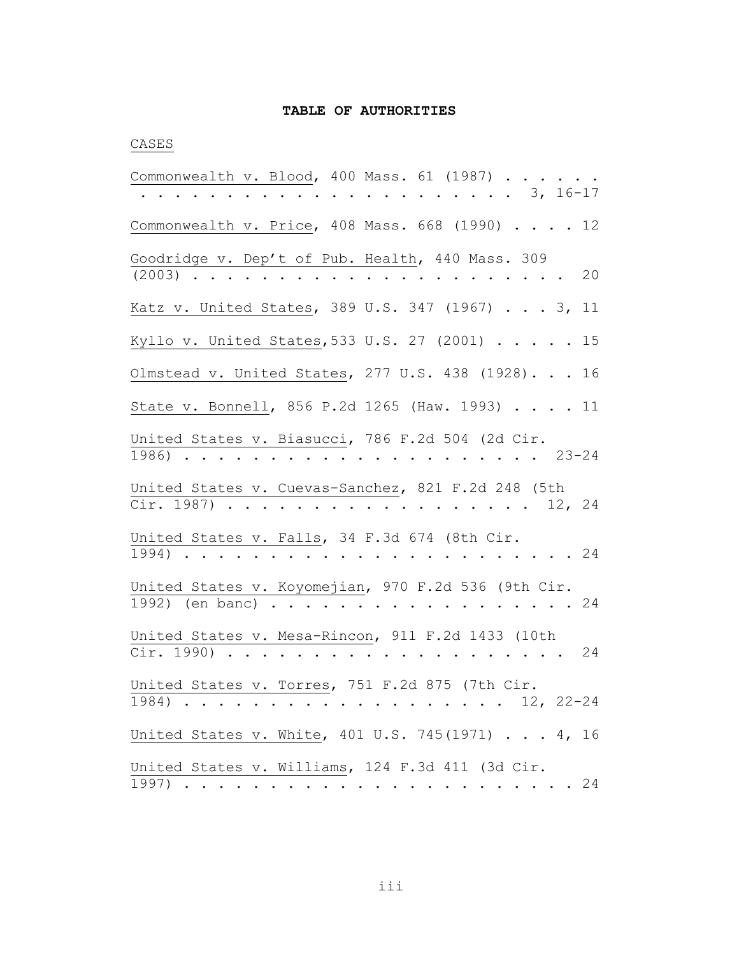### **TABLE OF AUTHORITIES**

## CASES

| Commonwealth v. Blood, 400 Mass. 61 (1987)<br>$\cdots$ $\cdots$ 3, 16-17                                         |
|------------------------------------------------------------------------------------------------------------------|
| Commonwealth v. Price, 408 Mass. 668 (1990) 12                                                                   |
| Goodridge v. Dep't of Pub. Health, 440 Mass. 309<br>$(2003)$<br>20                                               |
| Katz v. United States, 389 U.S. 347 (1967) 3,<br>11                                                              |
| Kyllo v. United States, 533 U.S. 27 (2001) 15                                                                    |
| Olmstead v. United States, 277 U.S. 438 (1928). 16                                                               |
| State v. Bonnell, 856 P.2d 1265 (Haw. 1993) 11                                                                   |
| United States v. Biasucci, 786 F.2d 504 (2d Cir.<br>$\cdots$ $\cdots$ 23-24<br>1986)                             |
| United States v. Cuevas-Sanchez, 821 F.2d 248 (5th<br>Cir. 1987) 12, 24                                          |
| United States v. Falls, 34 F.3d 674 (8th Cir.<br>$\cdots$ 24<br>$1994)$                                          |
| United States v. Koyomejian, 970 F.2d 536 (9th Cir.<br>1992) (en banc) 24                                        |
| United States v. Mesa-Rincon, 911 F.2d 1433 (10th<br>Cir. 1990)<br>24<br>$\cdot$ $\cdot$ $\cdot$ $\cdot$ $\cdot$ |
| United States v. Torres, 751 F.2d 875 (7th Cir.<br>1984) 12, 22-24                                               |
| United States v. White, 401 U.S. 745(1971) 4, 16                                                                 |
| United States v. Williams, 124 F.3d 411 (3d Cir.<br>24                                                           |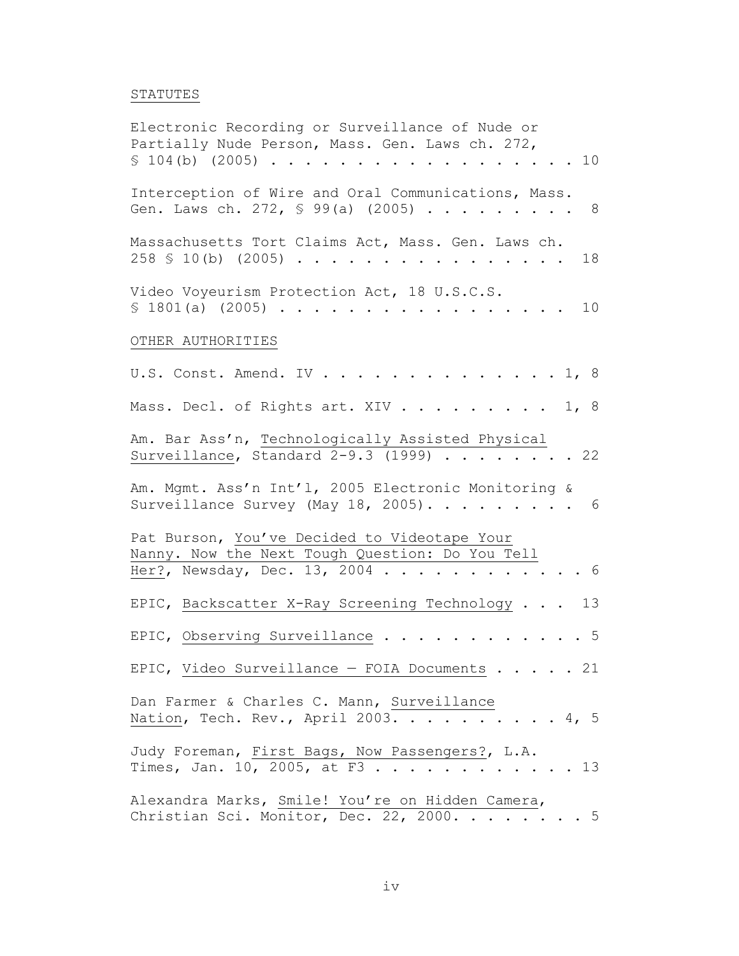# STATUTES

| Electronic Recording or Surveillance of Nude or<br>Partially Nude Person, Mass. Gen. Laws ch. 272,<br>\$104(b) (2005)<br>10 <sub>o</sub> |
|------------------------------------------------------------------------------------------------------------------------------------------|
| Interception of Wire and Oral Communications, Mass.<br>Gen. Laws ch. 272, § 99(a) (2005)<br>- 8                                          |
| Massachusetts Tort Claims Act, Mass. Gen. Laws ch.<br>$258 \text{ } S$ 10(b) (2005)<br>18<br>$\cdots$                                    |
| Video Voyeurism Protection Act, 18 U.S.C.S.<br>\$1801(a) (2005)<br>10                                                                    |
| OTHER AUTHORITIES                                                                                                                        |
| U.S. Const. Amend. IV<br>$\ldots$ 1, 8                                                                                                   |
| Mass. Decl. of Rights art. XIV<br>1, 8                                                                                                   |
| Am. Bar Ass'n, Technologically Assisted Physical<br>Surveillance, Standard 2-9.3 (1999) 22                                               |
| Am. Mgmt. Ass'n Int'l, 2005 Electronic Monitoring &<br>Surveillance Survey (May 18, 2005). 6                                             |
| Pat Burson, You've Decided to Videotape Your<br>Nanny. Now the Next Tough Question: Do You Tell<br>Her?, Newsday, Dec. 13, 2004<br>- 6   |
| EPIC, Backscatter X-Ray Screening Technology<br>13                                                                                       |
| EPIC, Observing Surveillance<br>5                                                                                                        |
| EPIC, Video Surveillance - FOIA Documents 21                                                                                             |
| Dan Farmer & Charles C. Mann, Surveillance<br>Nation, Tech. Rev., April 2003. 4, 5                                                       |
| Judy Foreman, First Bags, Now Passengers?, L.A.<br>Times, Jan. 10, 2005, at F3 13                                                        |
| Alexandra Marks, Smile! You're on Hidden Camera,<br>Christian Sci. Monitor, Dec. 22, 2000. 5                                             |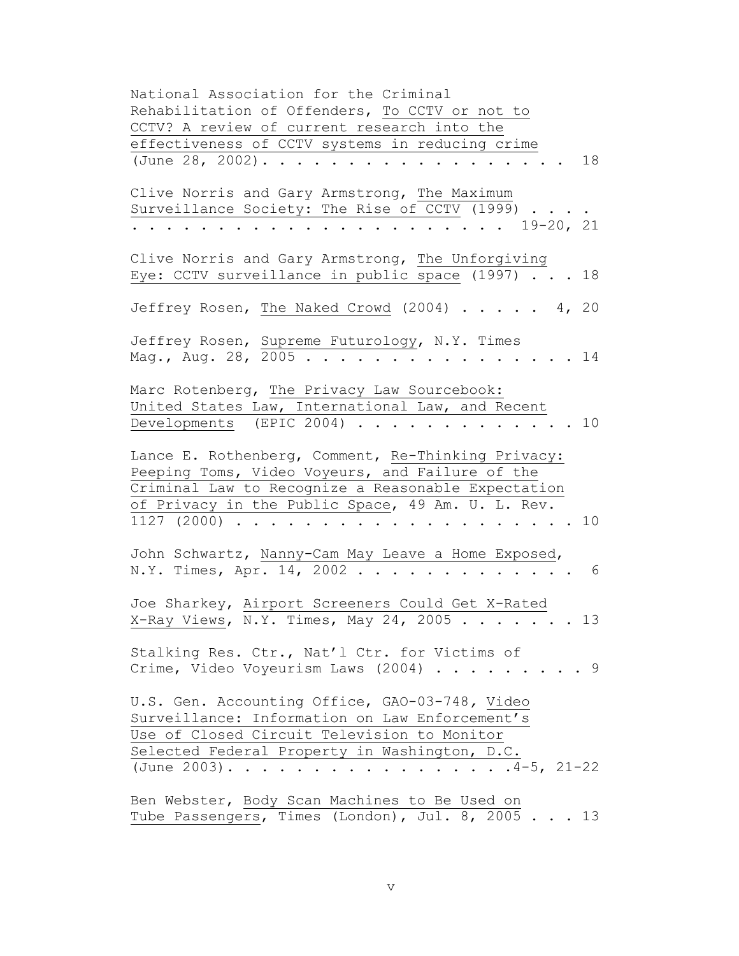| National Association for the Criminal                                                             |     |
|---------------------------------------------------------------------------------------------------|-----|
| Rehabilitation of Offenders, To CCTV or not to                                                    |     |
| CCTV? A review of current research into the                                                       |     |
| effectiveness of CCTV systems in reducing crime                                                   |     |
| (June 28, 2002).                                                                                  | 18  |
|                                                                                                   |     |
| Clive Norris and Gary Armstrong, The Maximum                                                      |     |
|                                                                                                   |     |
| Surveillance Society: The Rise of CCTV (1999)                                                     |     |
| $19 - 20, 21$<br>$\mathbf{r}$                                                                     |     |
|                                                                                                   |     |
| Clive Norris and Gary Armstrong, The Unforgiving                                                  |     |
| Eye: CCTV surveillance in public space (1997)                                                     | 18  |
|                                                                                                   |     |
| Jeffrey Rosen, The Naked Crowd (2004) 4, 20                                                       |     |
|                                                                                                   |     |
| Jeffrey Rosen, Supreme Futurology, N.Y. Times                                                     |     |
| Mag., Aug. 28, 2005                                                                               | 14  |
|                                                                                                   |     |
|                                                                                                   |     |
| Marc Rotenberg, The Privacy Law Sourcebook:                                                       |     |
| United States Law, International Law, and Recent                                                  |     |
| Developments (EPIC 2004)                                                                          | 10  |
|                                                                                                   |     |
| Lance E. Rothenberg, Comment, Re-Thinking Privacy:                                                |     |
| Peeping Toms, Video Voyeurs, and Failure of the                                                   |     |
| Criminal Law to Recognize a Reasonable Expectation                                                |     |
| of Privacy in the Public Space, 49 Am. U. L. Rev.                                                 |     |
|                                                                                                   | 10  |
| $1127$ (2000)                                                                                     |     |
|                                                                                                   |     |
| John Schwartz, Nanny-Cam May Leave a Home Exposed,                                                |     |
| N.Y. Times, Apr. 14, 2002<br>$\cdots$                                                             | 6   |
|                                                                                                   |     |
| Joe Sharkey, Airport Screeners Could Get X-Rated                                                  |     |
| X-Ray Views, $\overline{N.Y.}$ Times, May 24, 2005                                                | 13  |
|                                                                                                   |     |
| Stalking Res. Ctr., Nat'l Ctr. for Victims of                                                     |     |
| Crime, Video Voyeurism Laws (2004)                                                                | . 9 |
|                                                                                                   |     |
|                                                                                                   |     |
| U.S. Gen. Accounting Office, GAO-03-748, Video                                                    |     |
| Surveillance: Information on Law Enforcement's                                                    |     |
| Use of Closed Circuit Television to Monitor                                                       |     |
| Selected Federal Property in Washington, D.C.                                                     |     |
| (June 2003). $\overline{4}$ -5, 21-22                                                             |     |
|                                                                                                   |     |
|                                                                                                   |     |
|                                                                                                   |     |
| Ben Webster, Body Scan Machines to Be Used on<br>Tube Passengers, Times (London), Jul. 8, 2005 13 |     |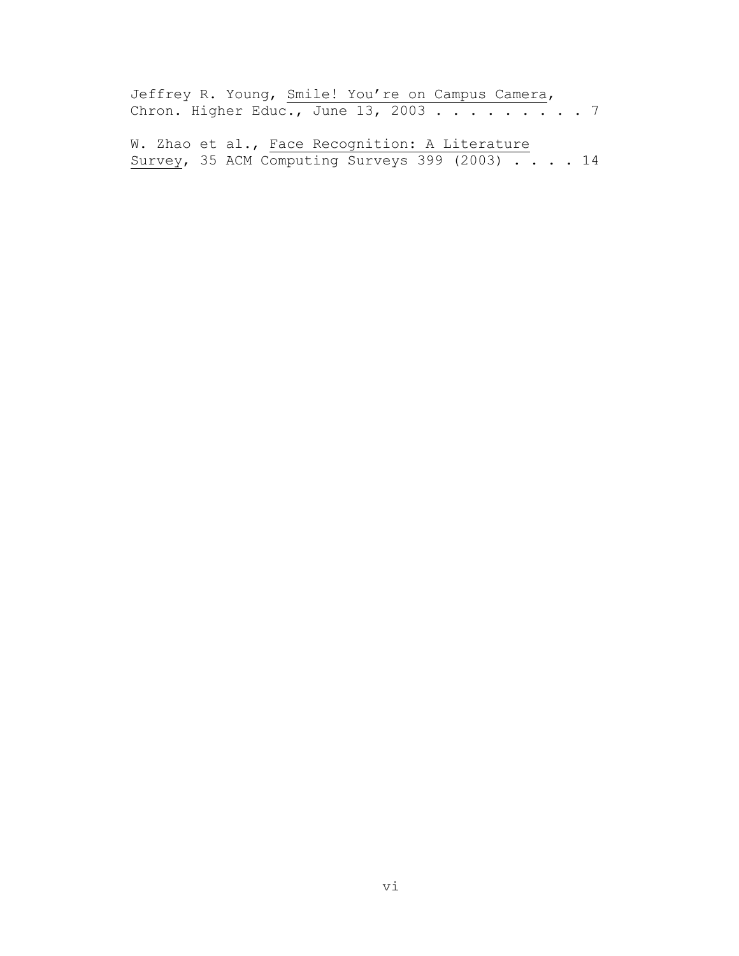Jeffrey R. Young, Smile! You're on Campus Camera, Chron. Higher Educ., June  $13$ , 2003 . . . . . . . . 7

W. Zhao et al., Face Recognition: A Literature Survey, 35 ACM Computing Surveys 399 (2003) . . . . 14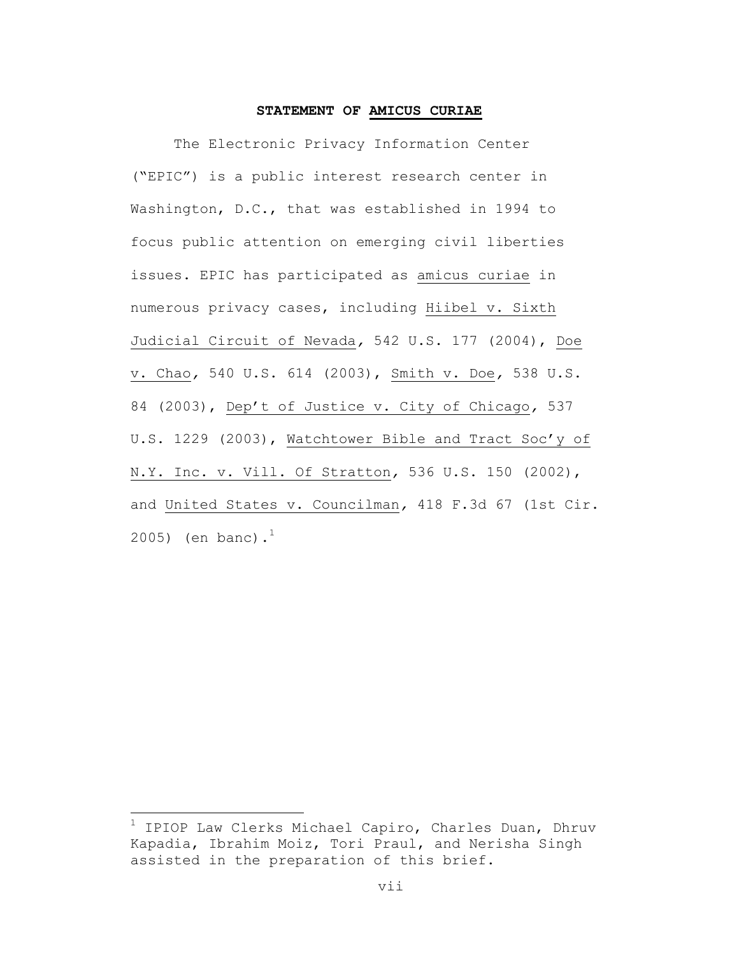#### **STATEMENT OF AMICUS CURIAE**

The Electronic Privacy Information Center ("EPIC") is a public interest research center in Washington, D.C., that was established in 1994 to focus public attention on emerging civil liberties issues. EPIC has participated as amicus curiae in numerous privacy cases, including Hiibel v. Sixth Judicial Circuit of Nevada*,* 542 U.S. 177 (2004), Doe v. Chao*,* 540 U.S. 614 (2003), Smith v. Doe*,* 538 U.S. 84 (2003), Dep't of Justice v. City of Chicago*,* 537 U.S. 1229 (2003), Watchtower Bible and Tract Soc'y of N.Y. Inc. v. Vill. Of Stratton*,* 536 U.S. 150 (2002), and United States v. Councilman*,* 418 F.3d 67 (1st Cir. 2005) (en banc).<sup>1</sup>

1 IPIOP Law Clerks Michael Capiro, Charles Duan, Dhruv Kapadia, Ibrahim Moiz, Tori Praul, and Nerisha Singh assisted in the preparation of this brief.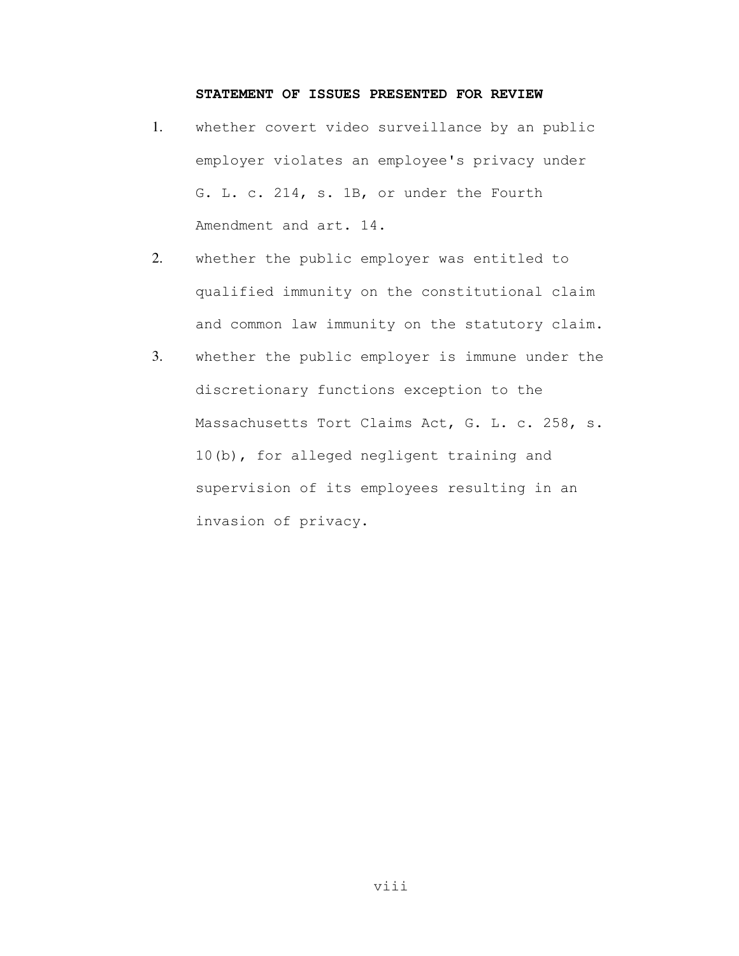### **STATEMENT OF ISSUES PRESENTED FOR REVIEW**

- 1. whether covert video surveillance by an public employer violates an employee's privacy under G. L. c. 214, s. 1B, or under the Fourth Amendment and art. 14.
- 2. whether the public employer was entitled to qualified immunity on the constitutional claim and common law immunity on the statutory claim.
- 3. whether the public employer is immune under the discretionary functions exception to the Massachusetts Tort Claims Act, G. L. c. 258, s. 10(b), for alleged negligent training and supervision of its employees resulting in an invasion of privacy.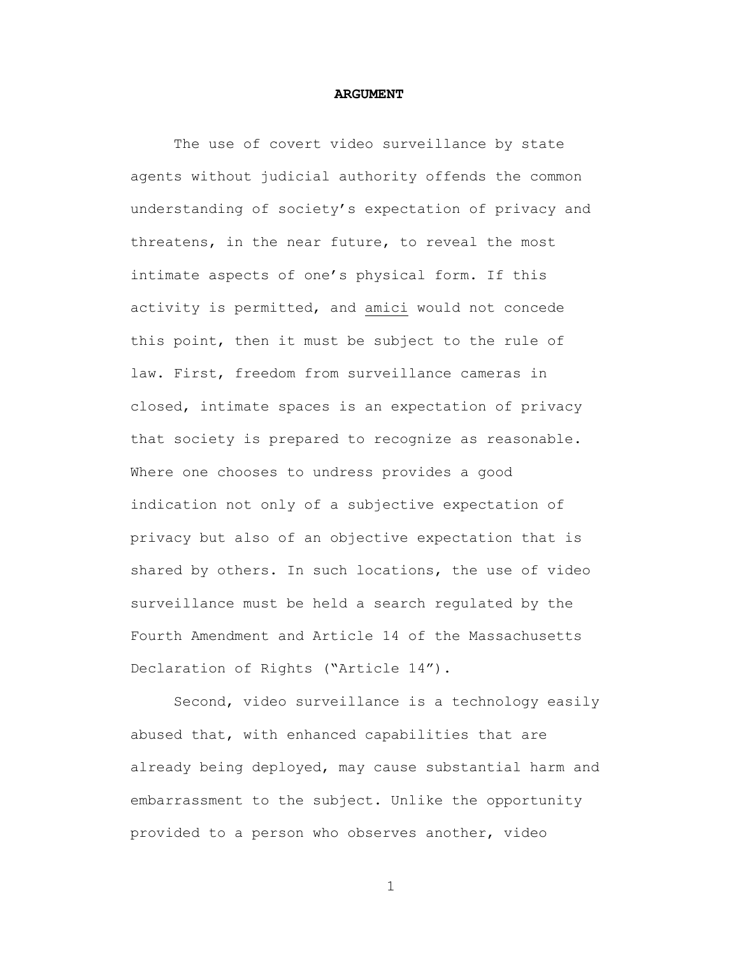#### **ARGUMENT**

The use of covert video surveillance by state agents without judicial authority offends the common understanding of society's expectation of privacy and threatens, in the near future, to reveal the most intimate aspects of one's physical form. If this activity is permitted, and amici would not concede this point, then it must be subject to the rule of law. First, freedom from surveillance cameras in closed, intimate spaces is an expectation of privacy that society is prepared to recognize as reasonable. Where one chooses to undress provides a good indication not only of a subjective expectation of privacy but also of an objective expectation that is shared by others. In such locations, the use of video surveillance must be held a search regulated by the Fourth Amendment and Article 14 of the Massachusetts Declaration of Rights ("Article 14").

Second, video surveillance is a technology easily abused that, with enhanced capabilities that are already being deployed, may cause substantial harm and embarrassment to the subject. Unlike the opportunity provided to a person who observes another, video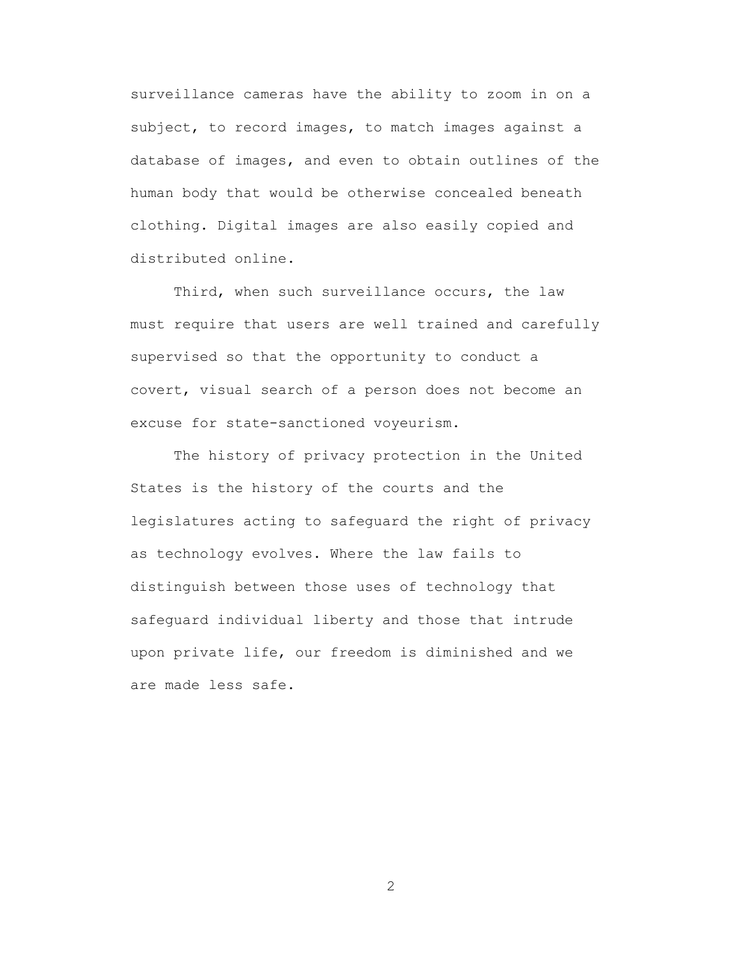surveillance cameras have the ability to zoom in on a subject, to record images, to match images against a database of images, and even to obtain outlines of the human body that would be otherwise concealed beneath clothing. Digital images are also easily copied and distributed online.

Third, when such surveillance occurs, the law must require that users are well trained and carefully supervised so that the opportunity to conduct a covert, visual search of a person does not become an excuse for state-sanctioned voyeurism.

The history of privacy protection in the United States is the history of the courts and the legislatures acting to safeguard the right of privacy as technology evolves. Where the law fails to distinguish between those uses of technology that safeguard individual liberty and those that intrude upon private life, our freedom is diminished and we are made less safe.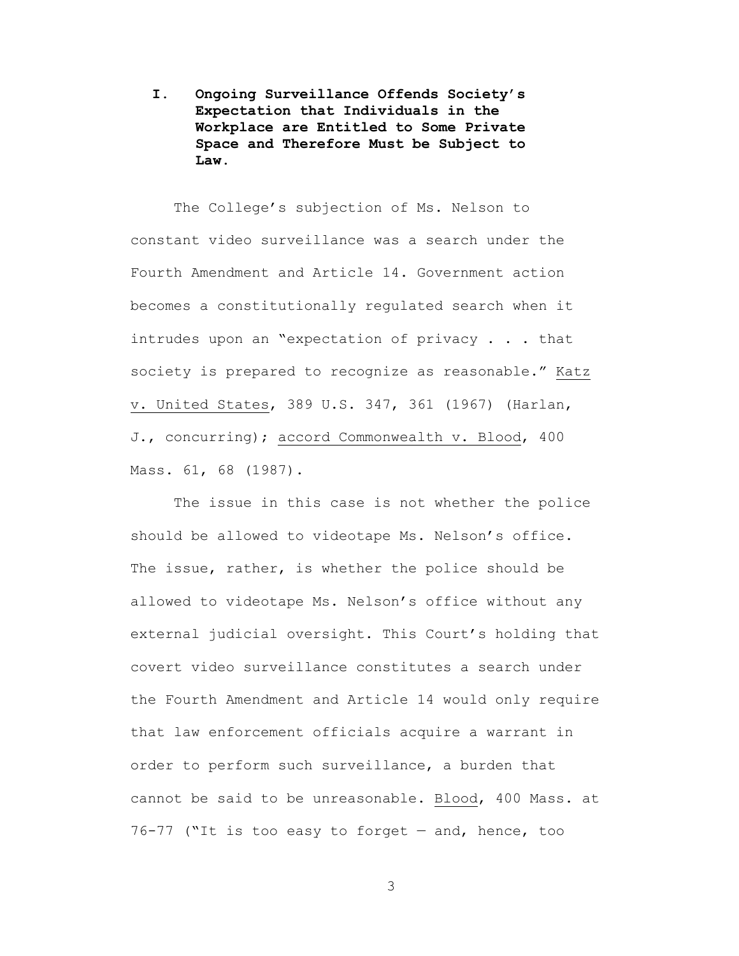**I. Ongoing Surveillance Offends Society's Expectation that Individuals in the Workplace are Entitled to Some Private Space and Therefore Must be Subject to Law.**

The College's subjection of Ms. Nelson to constant video surveillance was a search under the Fourth Amendment and Article 14. Government action becomes a constitutionally regulated search when it intrudes upon an "expectation of privacy . . . that society is prepared to recognize as reasonable." Katz v. United States, 389 U.S. 347, 361 (1967) (Harlan, J., concurring); accord Commonwealth v. Blood, 400 Mass. 61, 68 (1987).

The issue in this case is not whether the police should be allowed to videotape Ms. Nelson's office. The issue, rather, is whether the police should be allowed to videotape Ms. Nelson's office without any external judicial oversight. This Court's holding that covert video surveillance constitutes a search under the Fourth Amendment and Article 14 would only require that law enforcement officials acquire a warrant in order to perform such surveillance, a burden that cannot be said to be unreasonable. Blood, 400 Mass. at 76-77 ("It is too easy to forget — and, hence, too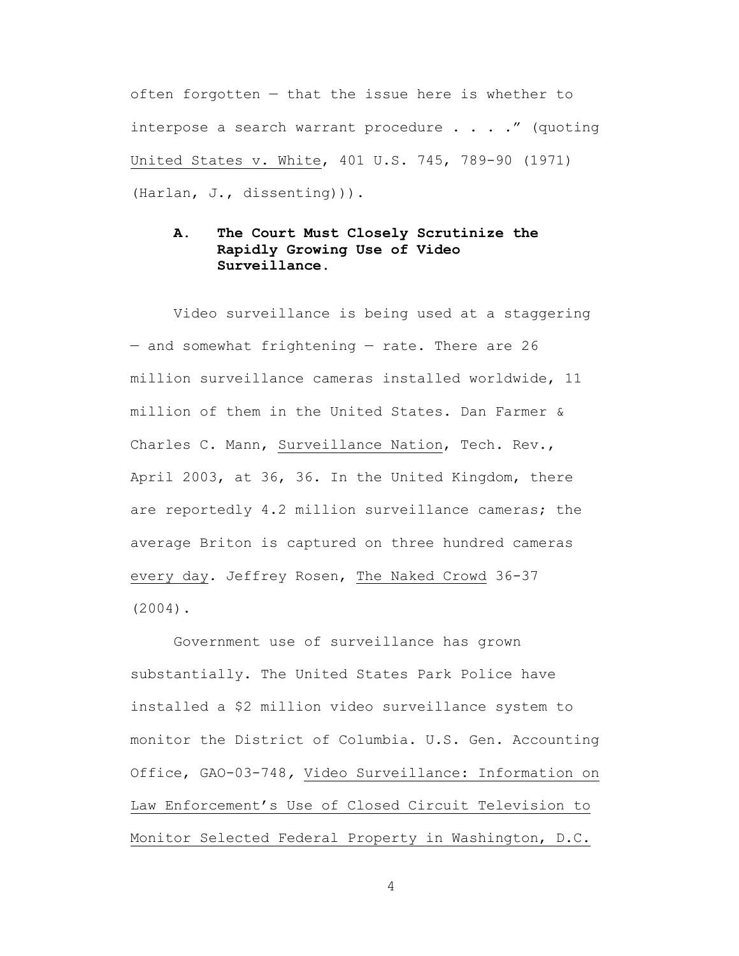often forgotten — that the issue here is whether to interpose a search warrant procedure  $\ldots$  . . " (quoting United States v. White, 401 U.S. 745, 789-90 (1971) (Harlan, J., dissenting))).

## **A. The Court Must Closely Scrutinize the Rapidly Growing Use of Video Surveillance.**

Video surveillance is being used at a staggering — and somewhat frightening — rate. There are 26 million surveillance cameras installed worldwide, 11 million of them in the United States. Dan Farmer & Charles C. Mann, Surveillance Nation, Tech. Rev., April 2003, at 36, 36. In the United Kingdom, there are reportedly 4.2 million surveillance cameras; the average Briton is captured on three hundred cameras every day. Jeffrey Rosen, The Naked Crowd 36-37 (2004).

Government use of surveillance has grown substantially. The United States Park Police have installed a \$2 million video surveillance system to monitor the District of Columbia. U.S. Gen. Accounting Office, GAO-03-748*,* Video Surveillance: Information on Law Enforcement's Use of Closed Circuit Television to Monitor Selected Federal Property in Washington, D.C.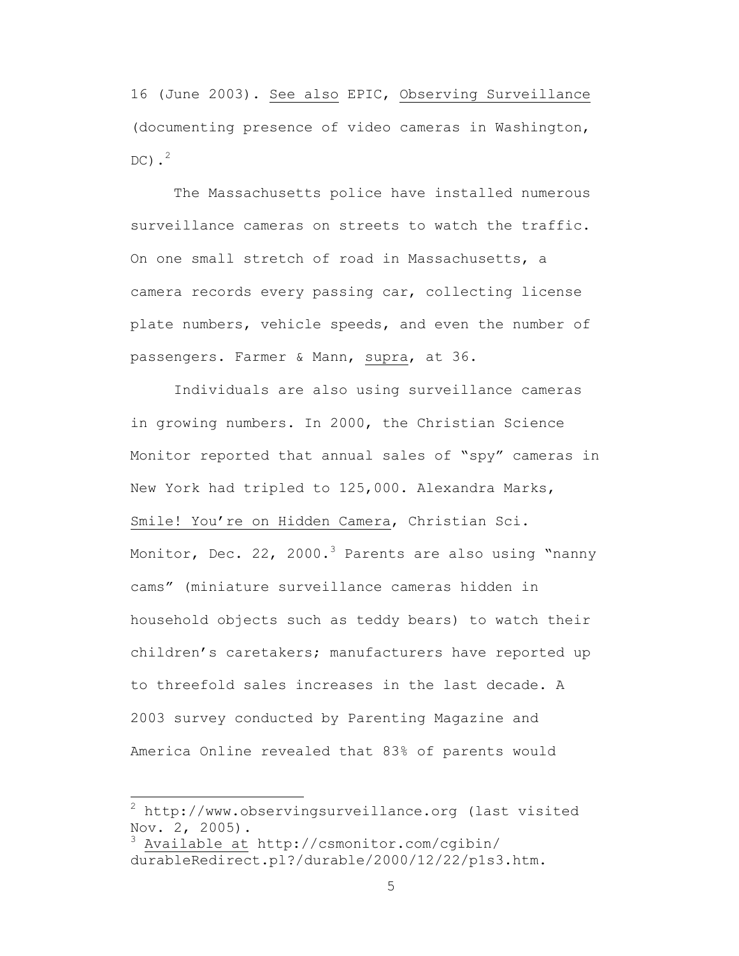16 (June 2003). See also EPIC, Observing Surveillance (documenting presence of video cameras in Washington,  $DC$ ).<sup>2</sup>

The Massachusetts police have installed numerous surveillance cameras on streets to watch the traffic. On one small stretch of road in Massachusetts, a camera records every passing car, collecting license plate numbers, vehicle speeds, and even the number of passengers. Farmer & Mann, supra, at 36.

Individuals are also using surveillance cameras in growing numbers. In 2000, the Christian Science Monitor reported that annual sales of "spy" cameras in New York had tripled to 125,000. Alexandra Marks, Smile! You're on Hidden Camera, Christian Sci. Monitor, Dec. 22, 2000.<sup>3</sup> Parents are also using "nanny cams" (miniature surveillance cameras hidden in household objects such as teddy bears) to watch their children's caretakers; manufacturers have reported up to threefold sales increases in the last decade. A 2003 survey conducted by Parenting Magazine and America Online revealed that 83% of parents would

2 http://www.observingsurveillance.org (last visited Nov. 2, 2005).

<sup>3</sup> Available at http://csmonitor.com/cgibin/ durableRedirect.pl?/durable/2000/12/22/p1s3.htm.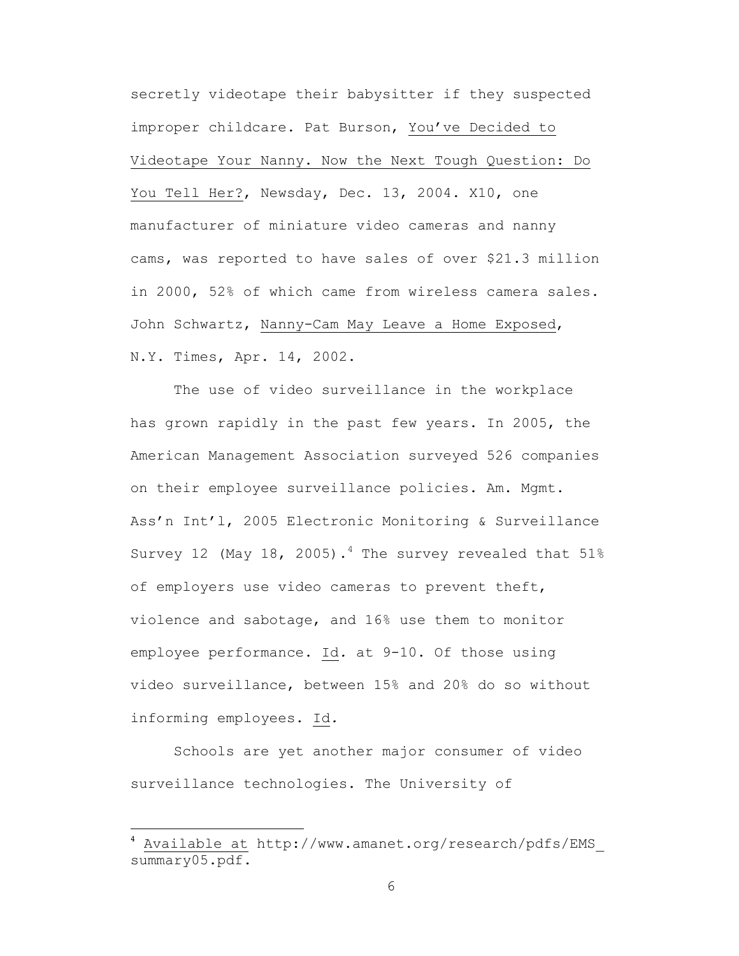secretly videotape their babysitter if they suspected improper childcare. Pat Burson, You've Decided to Videotape Your Nanny. Now the Next Tough Question: Do You Tell Her?, Newsday, Dec. 13, 2004. X10, one manufacturer of miniature video cameras and nanny cams, was reported to have sales of over \$21.3 million in 2000, 52% of which came from wireless camera sales. John Schwartz, Nanny-Cam May Leave a Home Exposed, N.Y. Times, Apr. 14, 2002.

The use of video surveillance in the workplace has grown rapidly in the past few years. In 2005, the American Management Association surveyed 526 companies on their employee surveillance policies. Am. Mgmt. Ass'n Int'l, 2005 Electronic Monitoring & Surveillance Survey 12 (May 18, 2005).<sup>4</sup> The survey revealed that  $51\%$ of employers use video cameras to prevent theft, violence and sabotage, and 16% use them to monitor employee performance. Id*.* at 9-10. Of those using video surveillance, between 15% and 20% do so without informing employees. Id*.*

Schools are yet another major consumer of video surveillance technologies. The University of

<sup>4</sup> Available at http://www.amanet.org/research/pdfs/EMS\_ summary05.pdf.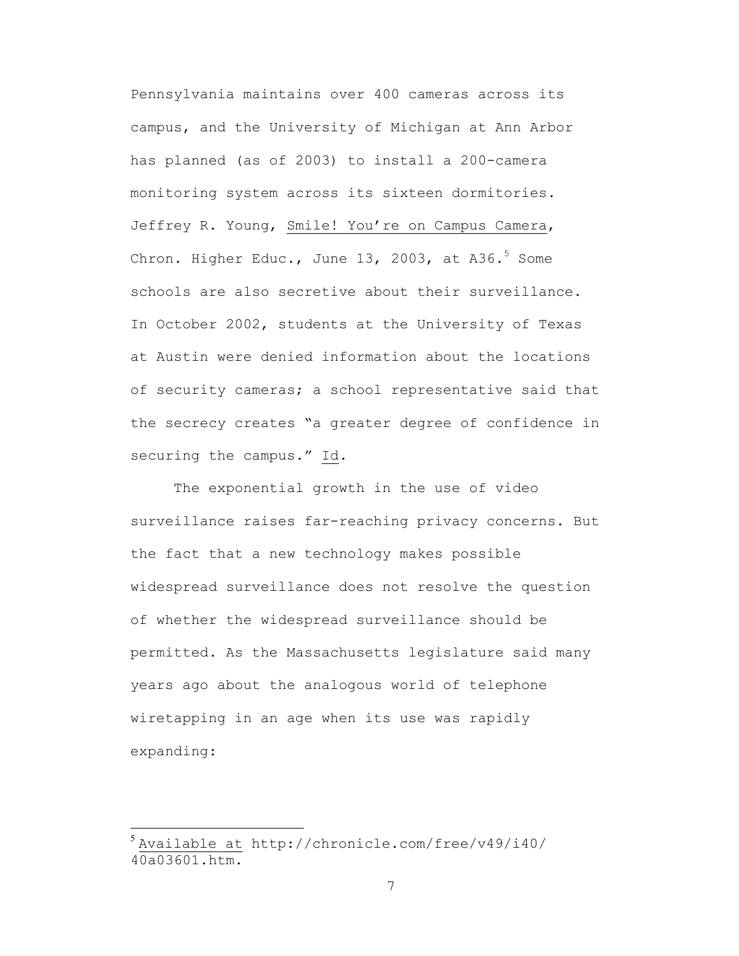Pennsylvania maintains over 400 cameras across its campus, and the University of Michigan at Ann Arbor has planned (as of 2003) to install a 200-camera monitoring system across its sixteen dormitories. Jeffrey R. Young, Smile! You're on Campus Camera, Chron. Higher Educ., June  $13$ , 2003, at A36. $^5$  Some schools are also secretive about their surveillance. In October 2002, students at the University of Texas at Austin were denied information about the locations of security cameras; a school representative said that the secrecy creates "a greater degree of confidence in securing the campus." Id*.*

The exponential growth in the use of video surveillance raises far-reaching privacy concerns. But the fact that a new technology makes possible widespread surveillance does not resolve the question of whether the widespread surveillance should be permitted. As the Massachusetts legislature said many years ago about the analogous world of telephone wiretapping in an age when its use was rapidly expanding:

 $<sup>5</sup>$  Available at http://chronicle.com/free/v49/i40/</sup> 40a03601.htm.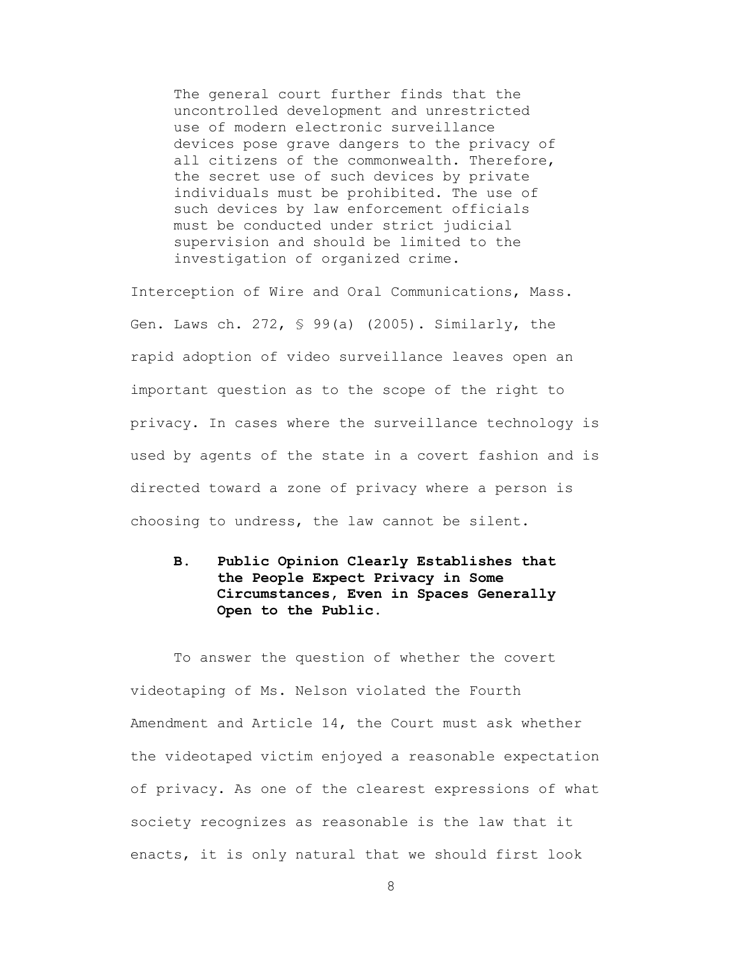The general court further finds that the uncontrolled development and unrestricted use of modern electronic surveillance devices pose grave dangers to the privacy of all citizens of the commonwealth. Therefore, the secret use of such devices by private individuals must be prohibited. The use of such devices by law enforcement officials must be conducted under strict judicial supervision and should be limited to the investigation of organized crime.

Interception of Wire and Oral Communications, Mass. Gen. Laws ch. 272, § 99(a) (2005). Similarly, the rapid adoption of video surveillance leaves open an important question as to the scope of the right to privacy. In cases where the surveillance technology is used by agents of the state in a covert fashion and is directed toward a zone of privacy where a person is choosing to undress, the law cannot be silent.

## **B. Public Opinion Clearly Establishes that the People Expect Privacy in Some Circumstances, Even in Spaces Generally Open to the Public.**

To answer the question of whether the covert videotaping of Ms. Nelson violated the Fourth Amendment and Article 14, the Court must ask whether the videotaped victim enjoyed a reasonable expectation of privacy. As one of the clearest expressions of what society recognizes as reasonable is the law that it enacts, it is only natural that we should first look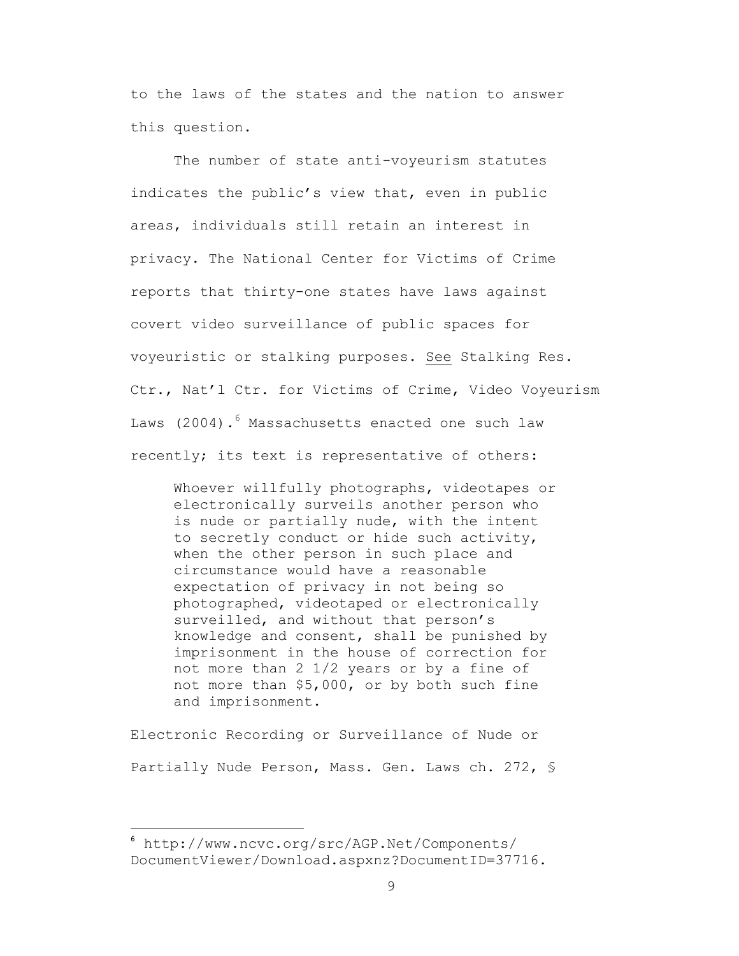to the laws of the states and the nation to answer this question.

The number of state anti-voyeurism statutes indicates the public's view that, even in public areas, individuals still retain an interest in privacy. The National Center for Victims of Crime reports that thirty-one states have laws against covert video surveillance of public spaces for voyeuristic or stalking purposes. See Stalking Res. Ctr., Nat'l Ctr. for Victims of Crime, Video Voyeurism Laws (2004). $^6$  Massachusetts enacted one such law recently; its text is representative of others:

Whoever willfully photographs, videotapes or electronically surveils another person who is nude or partially nude, with the intent to secretly conduct or hide such activity, when the other person in such place and circumstance would have a reasonable expectation of privacy in not being so photographed, videotaped or electronically surveilled, and without that person's knowledge and consent, shall be punished by imprisonment in the house of correction for not more than 2 1/2 years or by a fine of not more than \$5,000, or by both such fine and imprisonment.

Electronic Recording or Surveillance of Nude or Partially Nude Person, Mass. Gen. Laws ch. 272, §

6 http://www.ncvc.org/src/AGP.Net/Components/ DocumentViewer/Download.aspxnz?DocumentID=37716.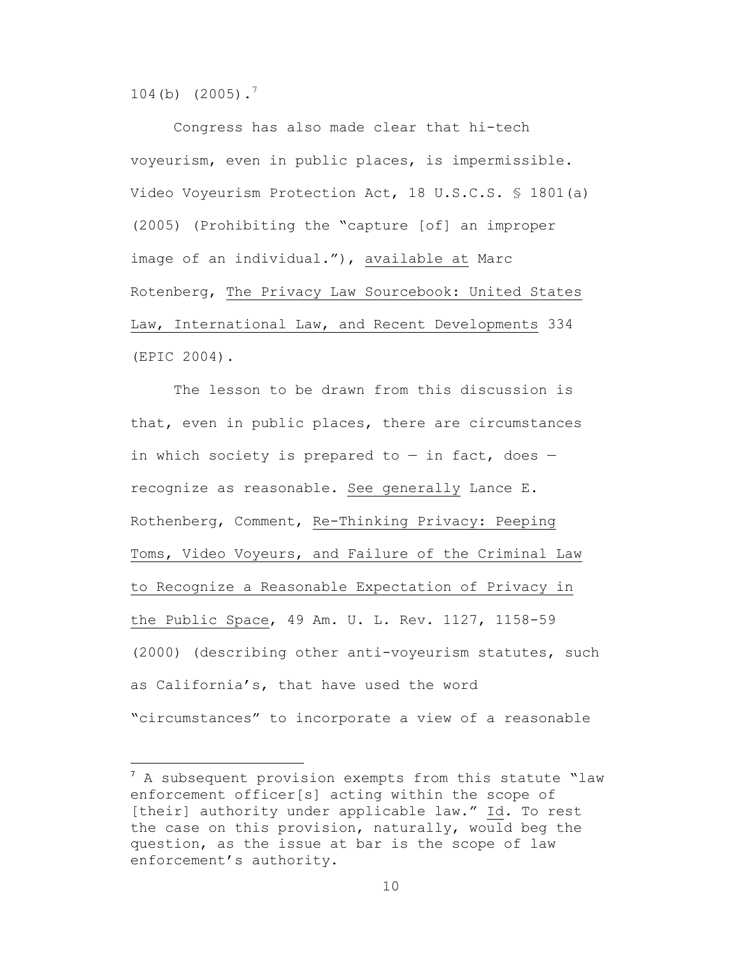104(b)  $(2005)$ .<sup>7</sup>

Congress has also made clear that hi-tech voyeurism, even in public places, is impermissible. Video Voyeurism Protection Act, 18 U.S.C.S. § 1801(a) (2005) (Prohibiting the "capture [of] an improper image of an individual."), available at Marc Rotenberg, The Privacy Law Sourcebook: United States Law, International Law, and Recent Developments 334 (EPIC 2004).

The lesson to be drawn from this discussion is that, even in public places, there are circumstances in which society is prepared to  $-$  in fact, does  $$ recognize as reasonable. See generally Lance E. Rothenberg, Comment, Re-Thinking Privacy: Peeping Toms, Video Voyeurs, and Failure of the Criminal Law to Recognize a Reasonable Expectation of Privacy in the Public Space, 49 Am. U. L. Rev. 1127, 1158-59 (2000) (describing other anti-voyeurism statutes, such as California's, that have used the word "circumstances" to incorporate a view of a reasonable

7 A subsequent provision exempts from this statute "law enforcement officer[s] acting within the scope of [their] authority under applicable law." Id*.* To rest the case on this provision, naturally, would beg the question, as the issue at bar is the scope of law enforcement's authority.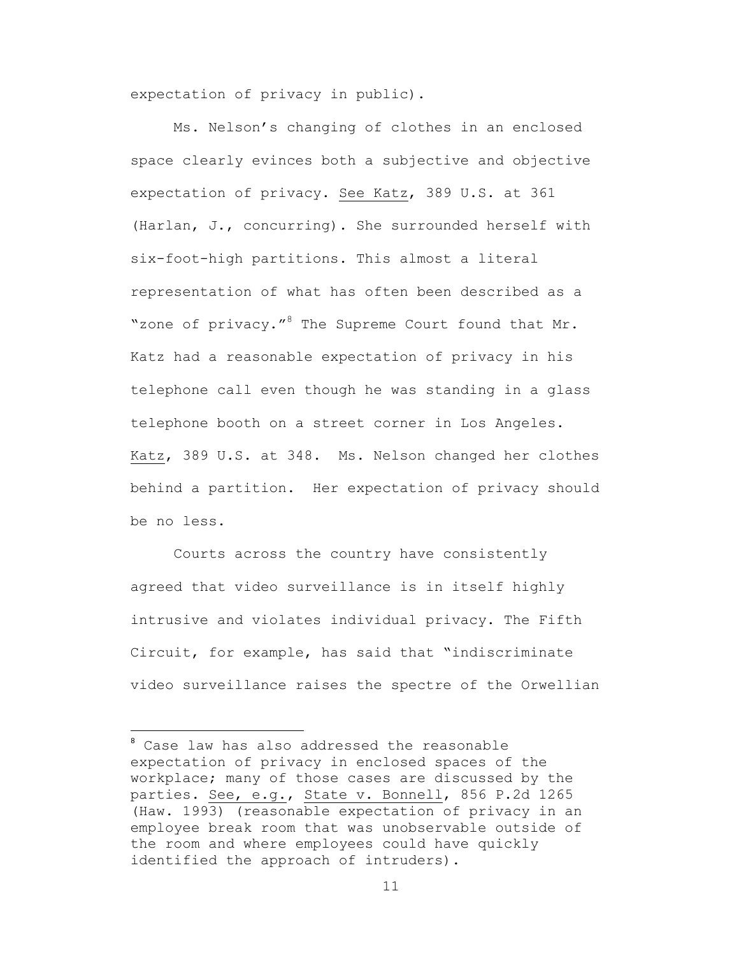expectation of privacy in public).

Ms. Nelson's changing of clothes in an enclosed space clearly evinces both a subjective and objective expectation of privacy. See Katz, 389 U.S. at 361 (Harlan, J., concurring). She surrounded herself with six-foot-high partitions. This almost a literal representation of what has often been described as a "zone of privacy."<sup>8</sup> The Supreme Court found that Mr. Katz had a reasonable expectation of privacy in his telephone call even though he was standing in a glass telephone booth on a street corner in Los Angeles. Katz, 389 U.S. at 348. Ms. Nelson changed her clothes behind a partition. Her expectation of privacy should be no less.

Courts across the country have consistently agreed that video surveillance is in itself highly intrusive and violates individual privacy. The Fifth Circuit, for example, has said that "indiscriminate video surveillance raises the spectre of the Orwellian

8 Case law has also addressed the reasonable expectation of privacy in enclosed spaces of the workplace; many of those cases are discussed by the parties. See, e.g., State v. Bonnell, 856 P.2d 1265 (Haw. 1993) (reasonable expectation of privacy in an employee break room that was unobservable outside of the room and where employees could have quickly identified the approach of intruders).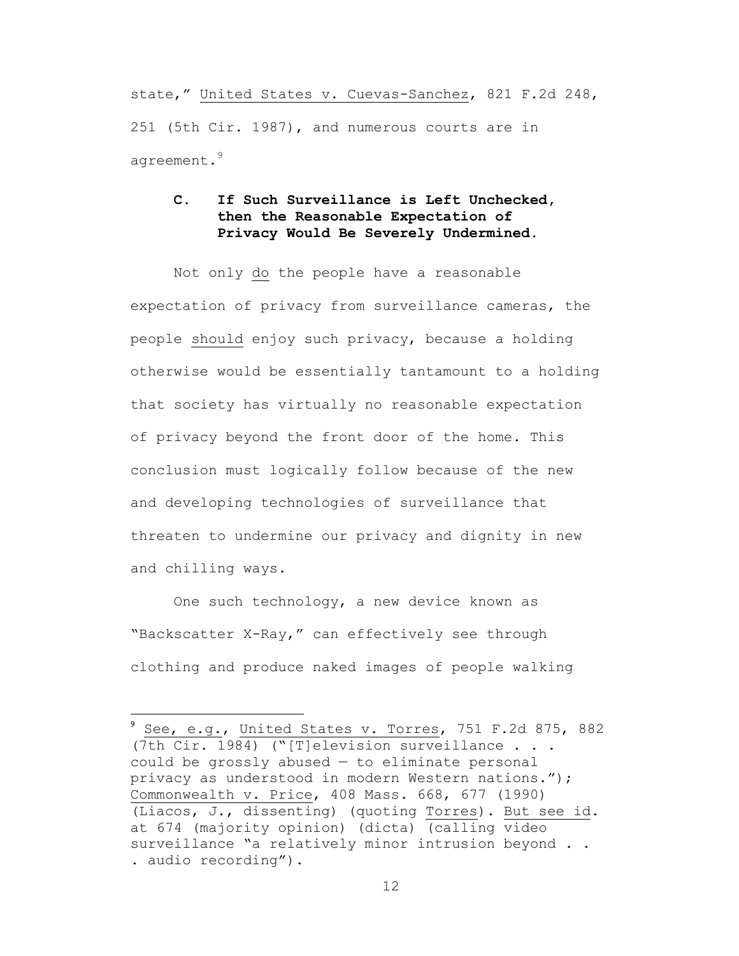state," United States v. Cuevas-Sanchez, 821 F.2d 248, 251 (5th Cir. 1987), and numerous courts are in agreement.<sup>9</sup>

## **C. If Such Surveillance is Left Unchecked, then the Reasonable Expectation of Privacy Would Be Severely Undermined.**

Not only do the people have a reasonable expectation of privacy from surveillance cameras, the people should enjoy such privacy, because a holding otherwise would be essentially tantamount to a holding that society has virtually no reasonable expectation of privacy beyond the front door of the home. This conclusion must logically follow because of the new and developing technologies of surveillance that threaten to undermine our privacy and dignity in new and chilling ways.

One such technology, a new device known as "Backscatter X-Ray," can effectively see through clothing and produce naked images of people walking

9 See, e.g., United States v. Torres, 751 F.2d 875, 882 (7th Cir. 1984) ("[T]elevision surveillance . . . could be grossly abused — to eliminate personal privacy as understood in modern Western nations."); Commonwealth v. Price, 408 Mass. 668, 677 (1990) (Liacos, J., dissenting) (quoting Torres). But see id*.* at 674 (majority opinion) (dicta) (calling video surveillance "a relatively minor intrusion beyond . . . audio recording").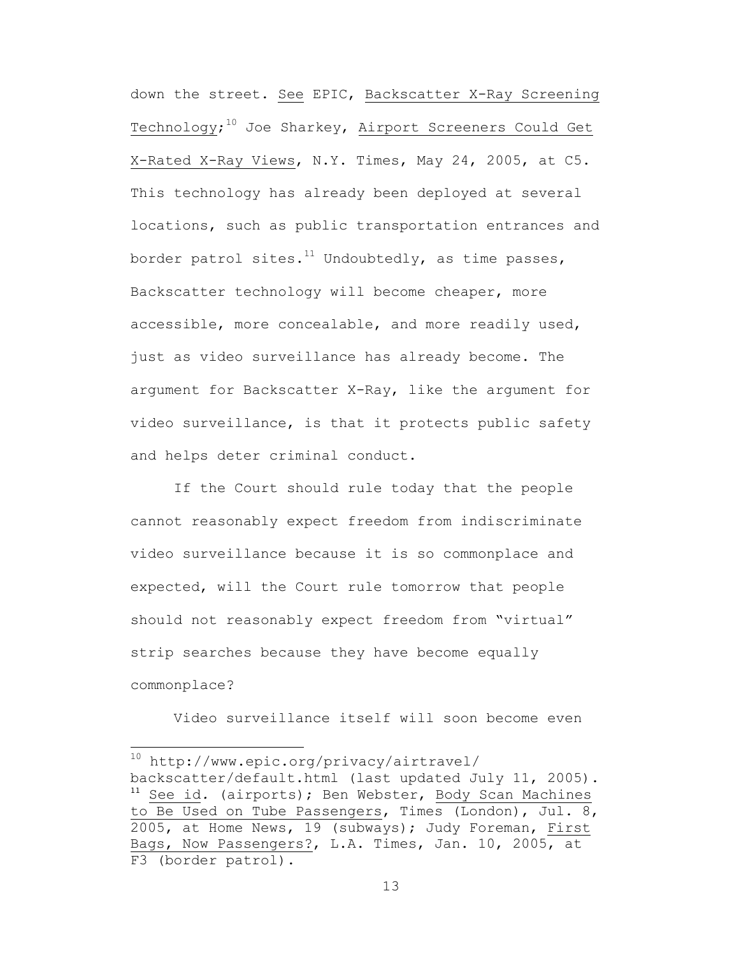down the street. See EPIC, Backscatter X-Ray Screening Technology; $^{10}$  Joe Sharkey, <u>Airport Screeners Could Get</u> X-Rated X-Ray Views, N.Y. Times, May 24, 2005, at C5. This technology has already been deployed at several locations, such as public transportation entrances and border patrol sites. $^{11}$  Undoubtedly, as time passes, Backscatter technology will become cheaper, more accessible, more concealable, and more readily used, just as video surveillance has already become. The argument for Backscatter X-Ray, like the argument for video surveillance, is that it protects public safety and helps deter criminal conduct.

If the Court should rule today that the people cannot reasonably expect freedom from indiscriminate video surveillance because it is so commonplace and expected, will the Court rule tomorrow that people should not reasonably expect freedom from "virtual" strip searches because they have become equally commonplace?

Video surveillance itself will soon become even

10 http://www.epic.org/privacy/airtravel/ backscatter/default.html (last updated July 11, 2005). <sup>11</sup> See id*.* (airports); Ben Webster, Body Scan Machines to Be Used on Tube Passengers, Times (London), Jul. 8, 2005, at Home News, 19 (subways); Judy Foreman, First Bags, Now Passengers?, L.A. Times, Jan. 10, 2005, at F3 (border patrol).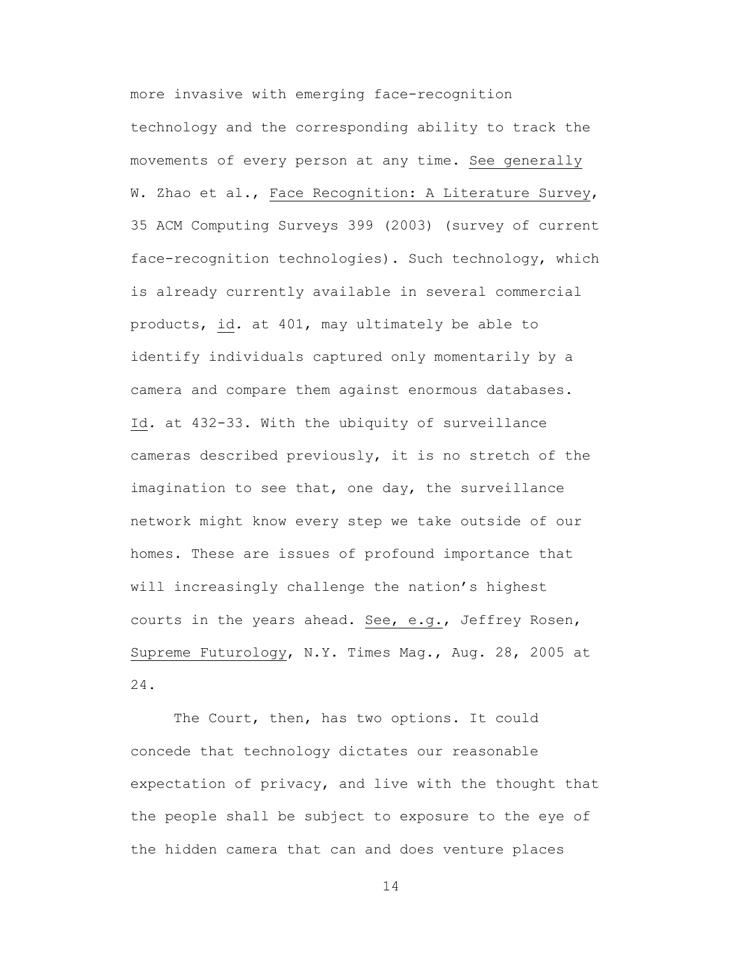more invasive with emerging face-recognition technology and the corresponding ability to track the movements of every person at any time. See generally W. Zhao et al., Face Recognition: A Literature Survey, 35 ACM Computing Surveys 399 (2003) (survey of current face-recognition technologies). Such technology, which is already currently available in several commercial products, id*.* at 401, may ultimately be able to identify individuals captured only momentarily by a camera and compare them against enormous databases. Id*.* at 432-33. With the ubiquity of surveillance cameras described previously, it is no stretch of the imagination to see that, one day, the surveillance network might know every step we take outside of our homes. These are issues of profound importance that will increasingly challenge the nation's highest courts in the years ahead. See, e.g., Jeffrey Rosen, Supreme Futurology, N.Y. Times Mag., Aug. 28, 2005 at 24.

The Court, then, has two options. It could concede that technology dictates our reasonable expectation of privacy, and live with the thought that the people shall be subject to exposure to the eye of the hidden camera that can and does venture places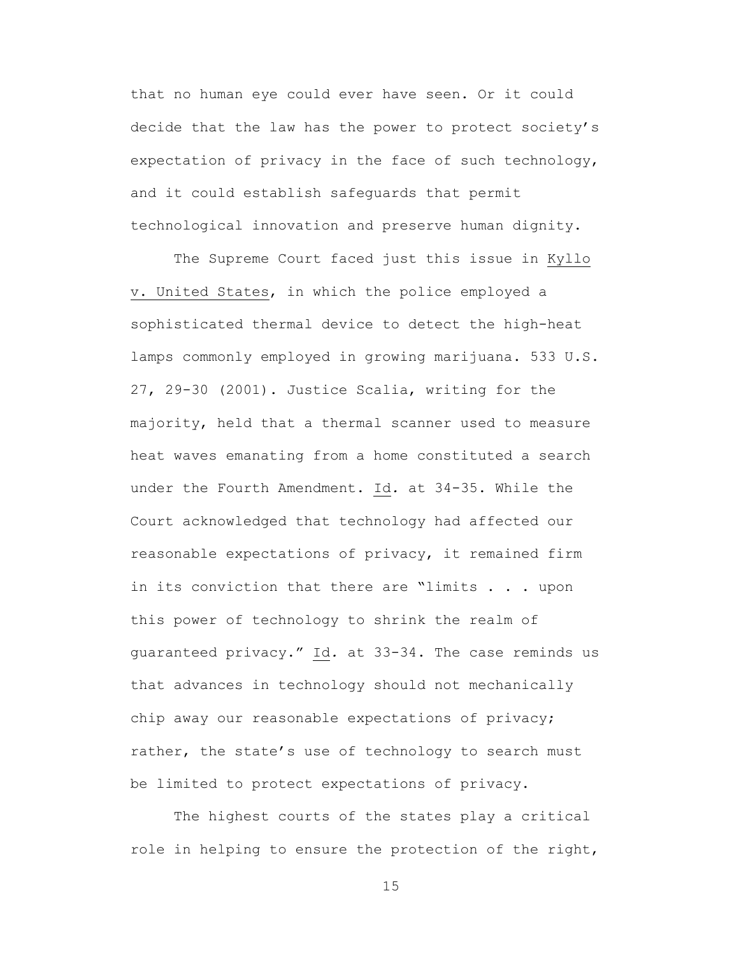that no human eye could ever have seen. Or it could decide that the law has the power to protect society's expectation of privacy in the face of such technology, and it could establish safeguards that permit technological innovation and preserve human dignity.

The Supreme Court faced just this issue in Kyllo v. United States, in which the police employed a sophisticated thermal device to detect the high-heat lamps commonly employed in growing marijuana. 533 U.S. 27, 29-30 (2001). Justice Scalia, writing for the majority, held that a thermal scanner used to measure heat waves emanating from a home constituted a search under the Fourth Amendment. Id*.* at 34-35. While the Court acknowledged that technology had affected our reasonable expectations of privacy, it remained firm in its conviction that there are "limits . . . upon this power of technology to shrink the realm of guaranteed privacy." Id*.* at 33-34. The case reminds us that advances in technology should not mechanically chip away our reasonable expectations of privacy; rather, the state's use of technology to search must be limited to protect expectations of privacy.

The highest courts of the states play a critical role in helping to ensure the protection of the right,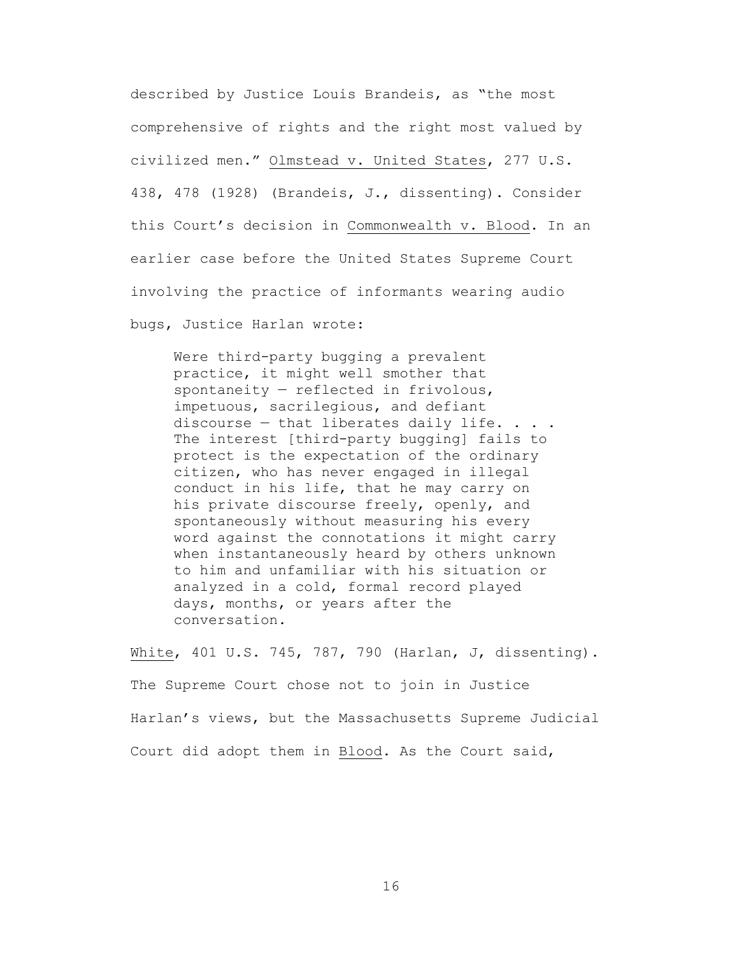described by Justice Louis Brandeis, as "the most comprehensive of rights and the right most valued by civilized men." Olmstead v. United States, 277 U.S. 438, 478 (1928) (Brandeis, J., dissenting). Consider this Court's decision in Commonwealth v. Blood. In an earlier case before the United States Supreme Court involving the practice of informants wearing audio bugs, Justice Harlan wrote:

Were third-party bugging a prevalent practice, it might well smother that spontaneity — reflected in frivolous, impetuous, sacrilegious, and defiant discourse  $-$  that liberates daily life.  $\ldots$ . The interest [third-party bugging] fails to protect is the expectation of the ordinary citizen, who has never engaged in illegal conduct in his life, that he may carry on his private discourse freely, openly, and spontaneously without measuring his every word against the connotations it might carry when instantaneously heard by others unknown to him and unfamiliar with his situation or analyzed in a cold, formal record played days, months, or years after the conversation.

White, 401 U.S. 745, 787, 790 (Harlan, J, dissenting). The Supreme Court chose not to join in Justice Harlan's views, but the Massachusetts Supreme Judicial Court did adopt them in Blood. As the Court said,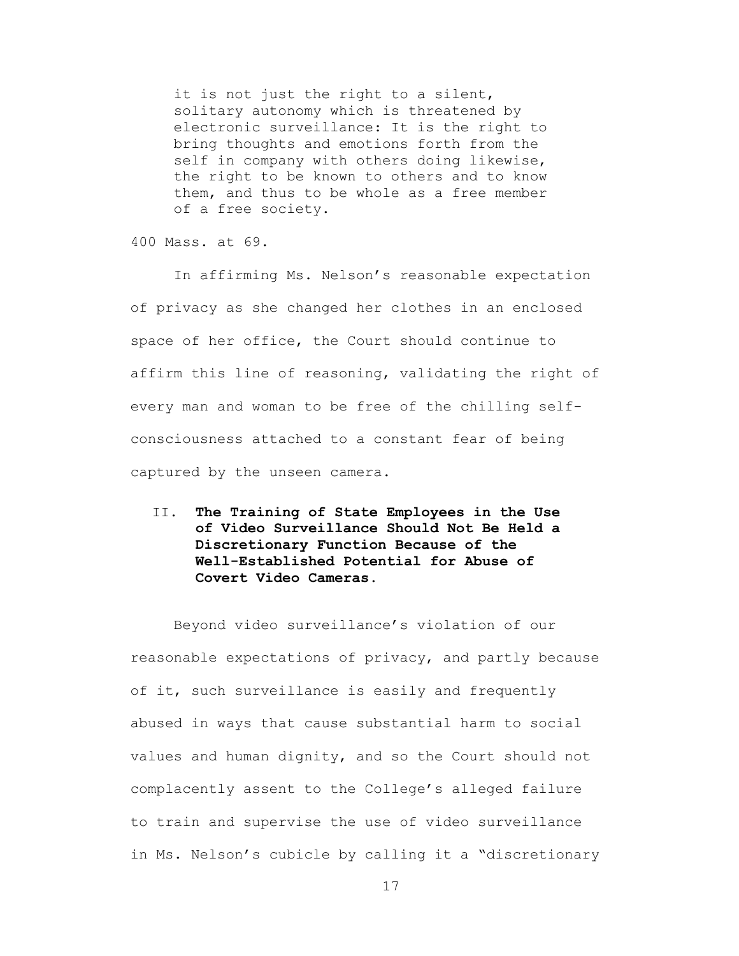it is not just the right to a silent, solitary autonomy which is threatened by electronic surveillance: It is the right to bring thoughts and emotions forth from the self in company with others doing likewise, the right to be known to others and to know them, and thus to be whole as a free member of a free society.

400 Mass. at 69.

In affirming Ms. Nelson's reasonable expectation of privacy as she changed her clothes in an enclosed space of her office, the Court should continue to affirm this line of reasoning, validating the right of every man and woman to be free of the chilling selfconsciousness attached to a constant fear of being captured by the unseen camera.

II. **The Training of State Employees in the Use of Video Surveillance Should Not Be Held a Discretionary Function Because of the Well-Established Potential for Abuse of Covert Video Cameras.**

Beyond video surveillance's violation of our reasonable expectations of privacy, and partly because of it, such surveillance is easily and frequently abused in ways that cause substantial harm to social values and human dignity, and so the Court should not complacently assent to the College's alleged failure to train and supervise the use of video surveillance in Ms. Nelson's cubicle by calling it a "discretionary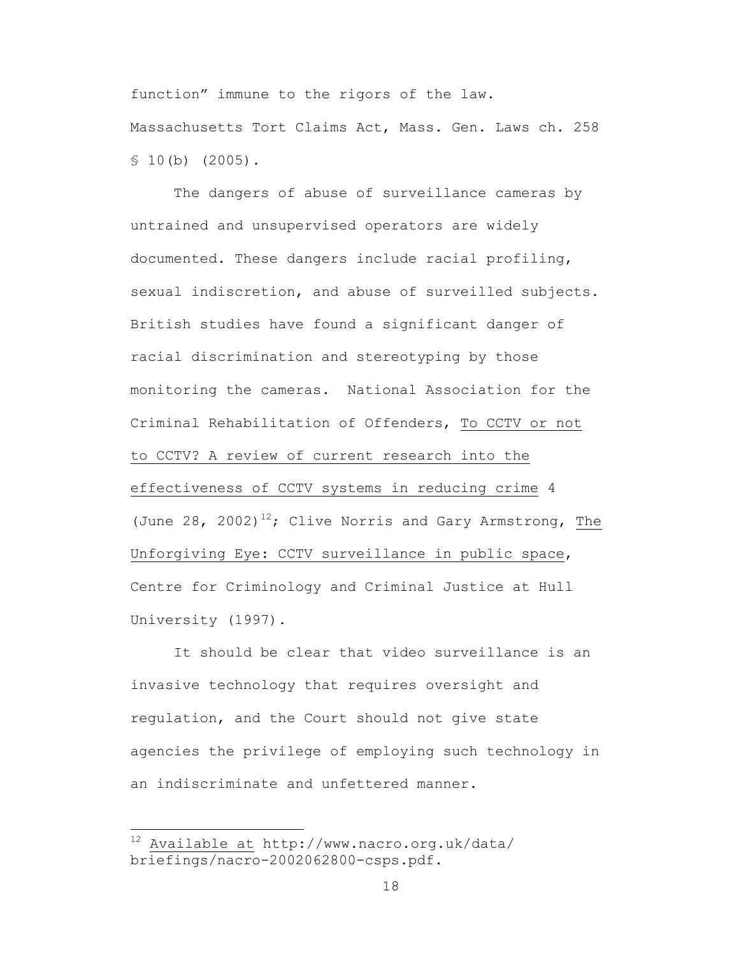function" immune to the rigors of the law. Massachusetts Tort Claims Act, Mass. Gen. Laws ch. 258  $$10(b)$  (2005).

The dangers of abuse of surveillance cameras by untrained and unsupervised operators are widely documented. These dangers include racial profiling, sexual indiscretion, and abuse of surveilled subjects. British studies have found a significant danger of racial discrimination and stereotyping by those monitoring the cameras. National Association for the Criminal Rehabilitation of Offenders, To CCTV or not to CCTV? A review of current research into the effectiveness of CCTV systems in reducing crime 4 (June 28, 2002)<sup>12</sup>; Clive Norris and Gary Armstrong, The Unforgiving Eye: CCTV surveillance in public space, Centre for Criminology and Criminal Justice at Hull University (1997).

It should be clear that video surveillance is an invasive technology that requires oversight and regulation, and the Court should not give state agencies the privilege of employing such technology in an indiscriminate and unfettered manner.

 $\frac{1}{12}$  Available at http://www.nacro.org.uk/data/ briefings/nacro-2002062800-csps.pdf.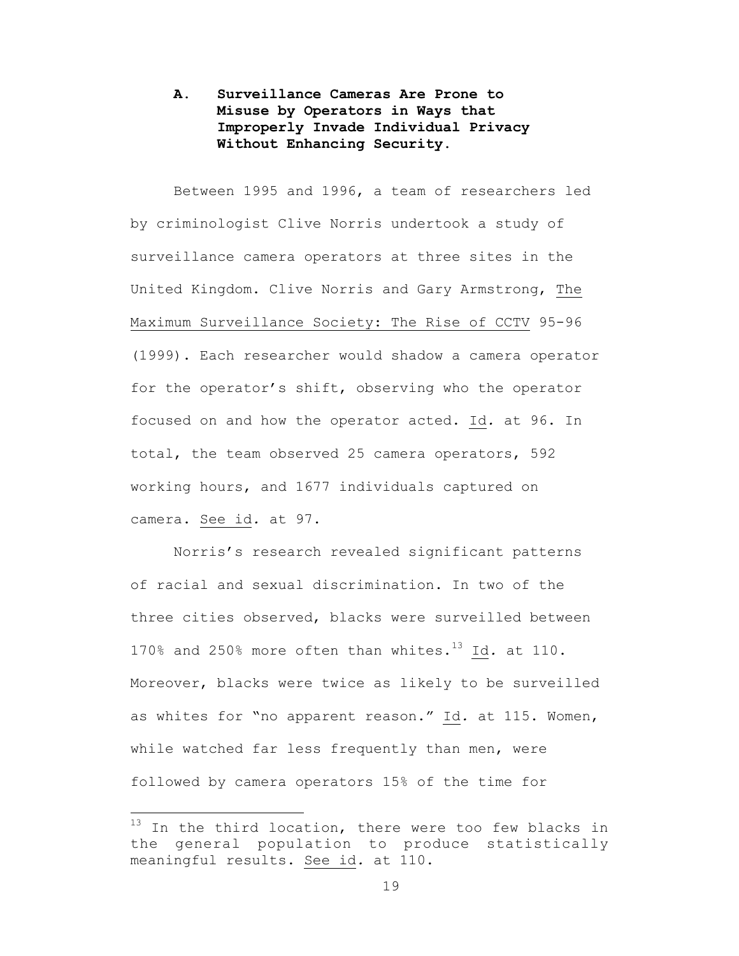## **A. Surveillance Cameras Are Prone to Misuse by Operators in Ways that Improperly Invade Individual Privacy Without Enhancing Security.**

Between 1995 and 1996, a team of researchers led by criminologist Clive Norris undertook a study of surveillance camera operators at three sites in the United Kingdom. Clive Norris and Gary Armstrong, The Maximum Surveillance Society: The Rise of CCTV 95-96 (1999). Each researcher would shadow a camera operator for the operator's shift, observing who the operator focused on and how the operator acted. Id*.* at 96. In total, the team observed 25 camera operators, 592 working hours, and 1677 individuals captured on camera. See id*.* at 97.

Norris's research revealed significant patterns of racial and sexual discrimination. In two of the three cities observed, blacks were surveilled between 170% and 250% more often than whites.13 Id*.* at 110. Moreover, blacks were twice as likely to be surveilled as whites for "no apparent reason." Id*.* at 115. Women, while watched far less frequently than men, were followed by camera operators 15% of the time for

 $13$  In the third location, there were too few blacks in the general population to produce statistically meaningful results. See id*.* at 110.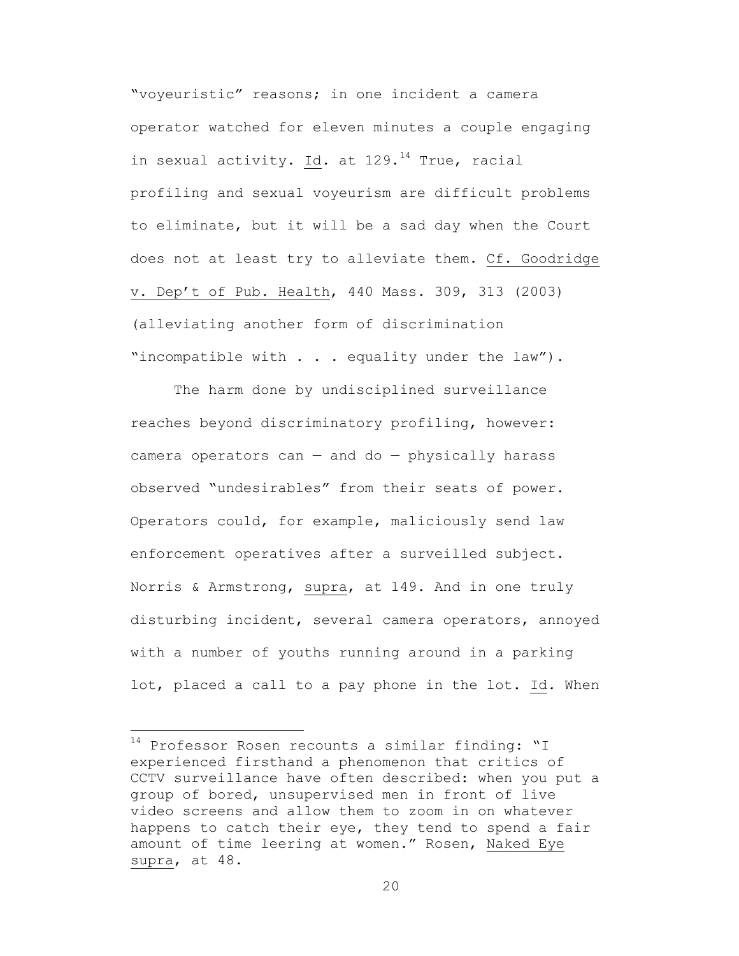"voyeuristic" reasons; in one incident a camera operator watched for eleven minutes a couple engaging in sexual activity. Id. at 129.<sup>14</sup> True, racial profiling and sexual voyeurism are difficult problems to eliminate, but it will be a sad day when the Court does not at least try to alleviate them. Cf. Goodridge v. Dep't of Pub. Health, 440 Mass. 309, 313 (2003) (alleviating another form of discrimination "incompatible with . . . equality under the law").

The harm done by undisciplined surveillance reaches beyond discriminatory profiling, however: camera operators can  $-$  and do  $-$  physically harass observed "undesirables" from their seats of power. Operators could, for example, maliciously send law enforcement operatives after a surveilled subject. Norris & Armstrong, supra, at 149. And in one truly disturbing incident, several camera operators, annoyed with a number of youths running around in a parking lot, placed a call to a pay phone in the lot. Id*.* When

14 Professor Rosen recounts a similar finding: "I experienced firsthand a phenomenon that critics of CCTV surveillance have often described: when you put a group of bored, unsupervised men in front of live video screens and allow them to zoom in on whatever happens to catch their eye, they tend to spend a fair amount of time leering at women." Rosen, Naked Eye supra, at 48.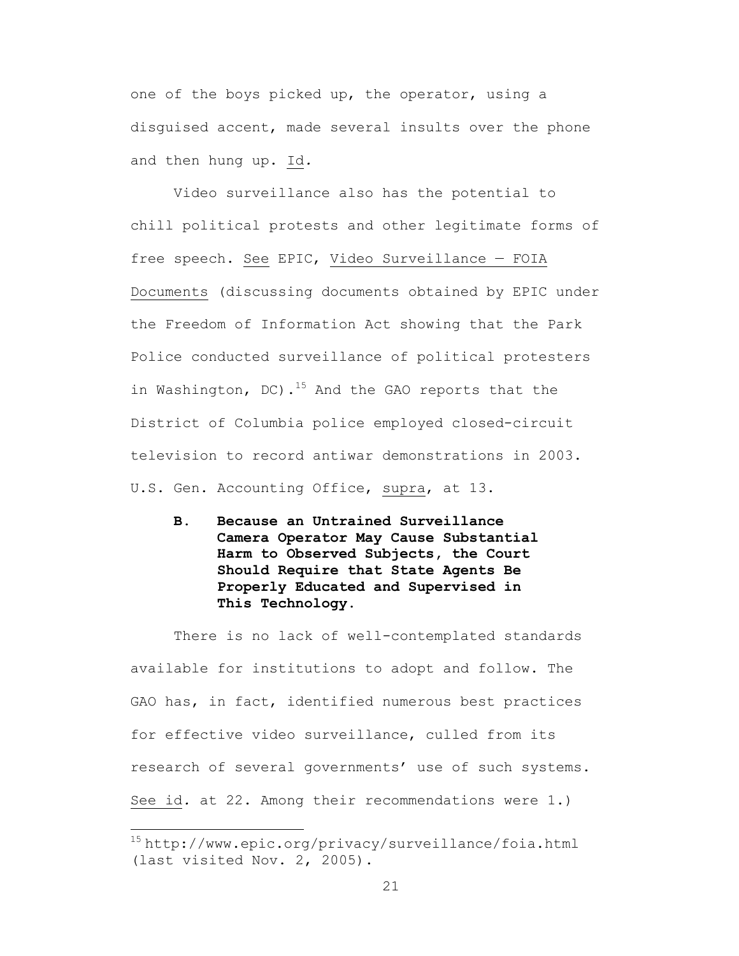one of the boys picked up, the operator, using a disguised accent, made several insults over the phone and then hung up. Id*.*

Video surveillance also has the potential to chill political protests and other legitimate forms of free speech. See EPIC, Video Surveillance — FOIA Documents (discussing documents obtained by EPIC under the Freedom of Information Act showing that the Park Police conducted surveillance of political protesters in Washington, DC).<sup>15</sup> And the GAO reports that the District of Columbia police employed closed-circuit television to record antiwar demonstrations in 2003. U.S. Gen. Accounting Office, supra, at 13.

**B. Because an Untrained Surveillance Camera Operator May Cause Substantial Harm to Observed Subjects, the Court Should Require that State Agents Be Properly Educated and Supervised in This Technology.**

There is no lack of well-contemplated standards available for institutions to adopt and follow. The GAO has, in fact, identified numerous best practices for effective video surveillance, culled from its research of several governments' use of such systems. See id*.* at 22. Among their recommendations were 1.)

<sup>15</sup> http://www.epic.org/privacy/surveillance/foia.html (last visited Nov. 2, 2005).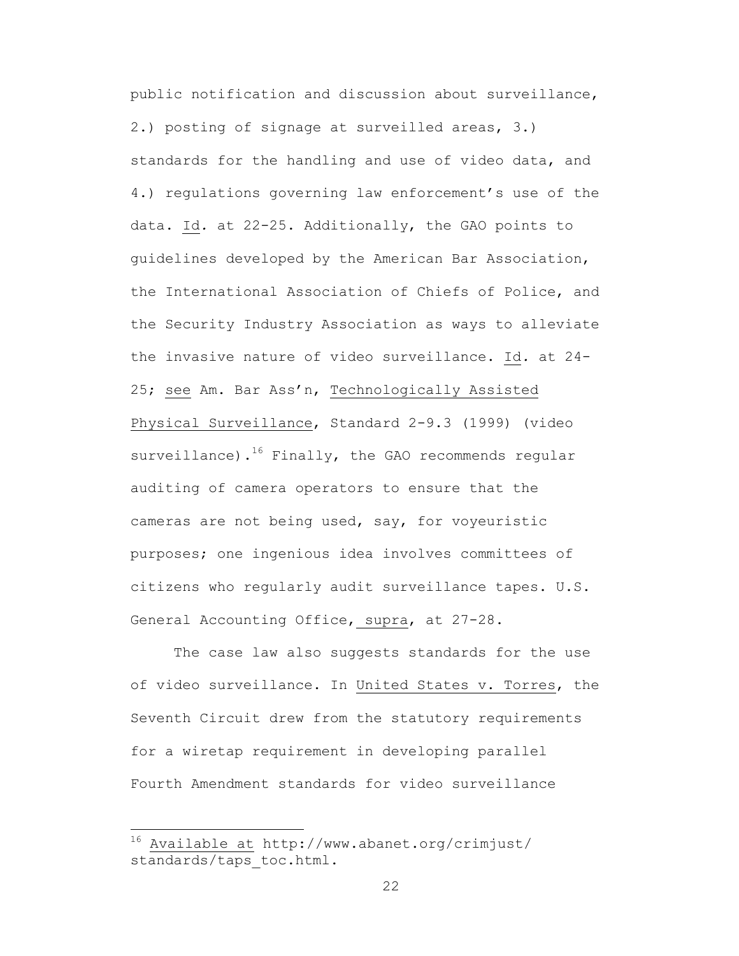public notification and discussion about surveillance, 2.) posting of signage at surveilled areas, 3.) standards for the handling and use of video data, and 4.) regulations governing law enforcement's use of the data. Id*.* at 22-25. Additionally, the GAO points to guidelines developed by the American Bar Association, the International Association of Chiefs of Police, and the Security Industry Association as ways to alleviate the invasive nature of video surveillance. Id*.* at 24- 25; see Am. Bar Ass'n, Technologically Assisted Physical Surveillance, Standard 2-9.3 (1999) (video surveillance). $16$  Finally, the GAO recommends regular auditing of camera operators to ensure that the cameras are not being used, say, for voyeuristic purposes; one ingenious idea involves committees of citizens who regularly audit surveillance tapes. U.S. General Accounting Office, supra, at 27-28.

The case law also suggests standards for the use of video surveillance. In United States v. Torres, the Seventh Circuit drew from the statutory requirements for a wiretap requirement in developing parallel Fourth Amendment standards for video surveillance

16 Available at http://www.abanet.org/crimjust/ standards/taps toc.html.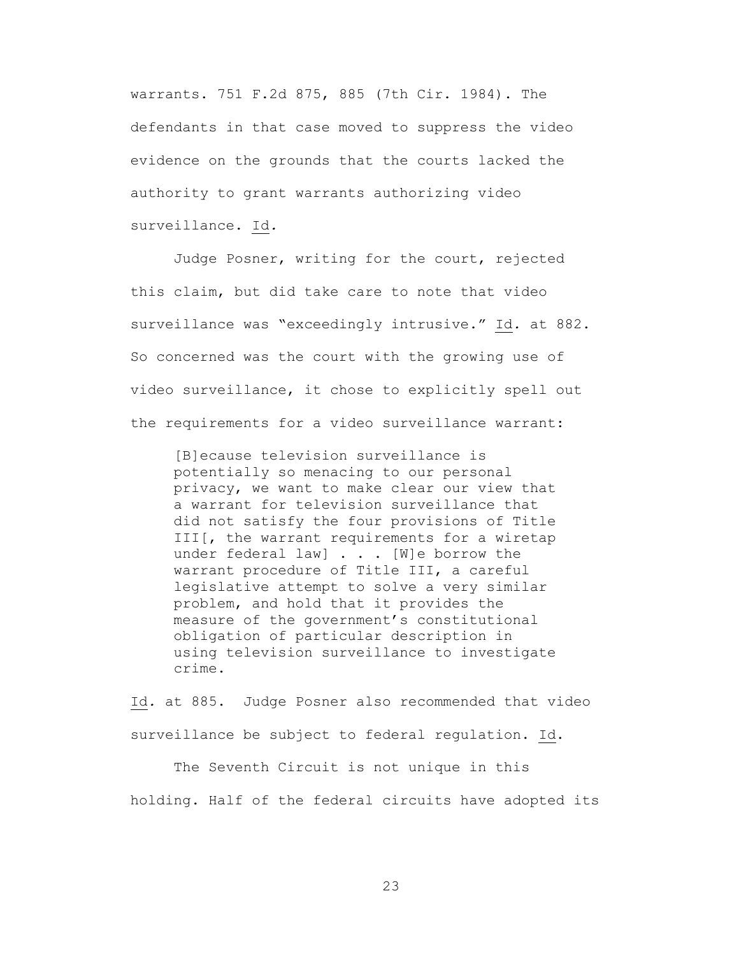warrants. 751 F.2d 875, 885 (7th Cir. 1984). The defendants in that case moved to suppress the video evidence on the grounds that the courts lacked the authority to grant warrants authorizing video surveillance. Id*.*

Judge Posner, writing for the court, rejected this claim, but did take care to note that video surveillance was "exceedingly intrusive." Id*.* at 882. So concerned was the court with the growing use of video surveillance, it chose to explicitly spell out the requirements for a video surveillance warrant:

[B]ecause television surveillance is potentially so menacing to our personal privacy, we want to make clear our view that a warrant for television surveillance that did not satisfy the four provisions of Title III[, the warrant requirements for a wiretap under federal law] . . . [W]e borrow the warrant procedure of Title III, a careful legislative attempt to solve a very similar problem, and hold that it provides the measure of the government's constitutional obligation of particular description in using television surveillance to investigate crime.

Id*.* at 885. Judge Posner also recommended that video surveillance be subject to federal regulation. Id.

The Seventh Circuit is not unique in this holding. Half of the federal circuits have adopted its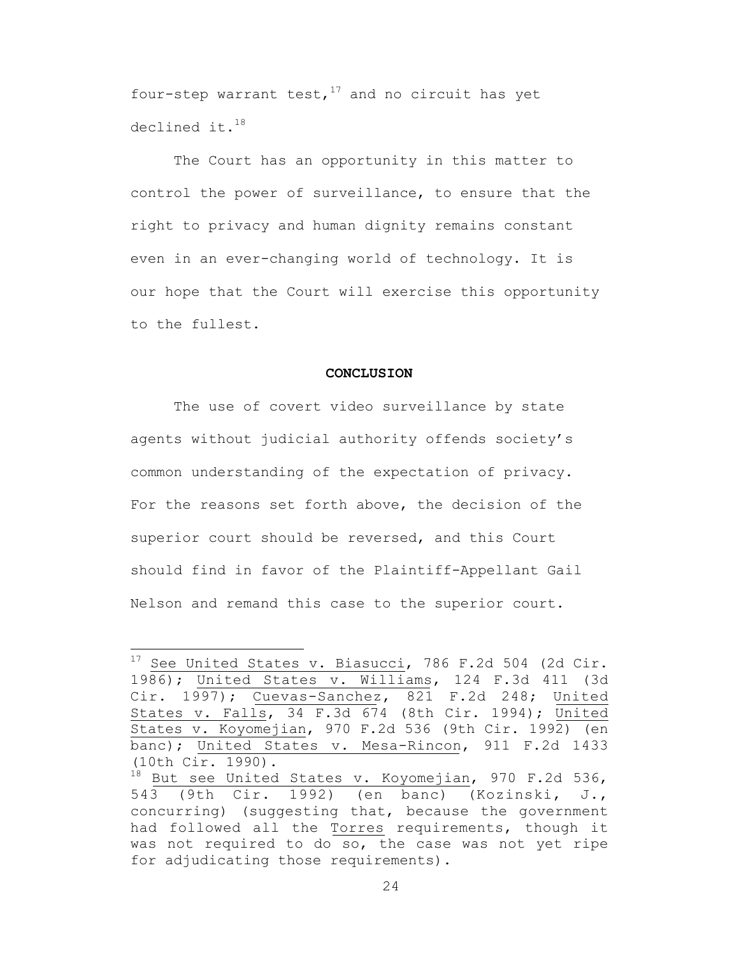four-step warrant test,  $17$  and no circuit has yet declined it.<sup>18</sup>

The Court has an opportunity in this matter to control the power of surveillance, to ensure that the right to privacy and human dignity remains constant even in an ever-changing world of technology. It is our hope that the Court will exercise this opportunity to the fullest.

#### **CONCLUSION**

The use of covert video surveillance by state agents without judicial authority offends society's common understanding of the expectation of privacy. For the reasons set forth above, the decision of the superior court should be reversed, and this Court should find in favor of the Plaintiff-Appellant Gail Nelson and remand this case to the superior court.

 $17$  See United States v. Biasucci, 786 F.2d 504 (2d Cir. 1986); United States v. Williams, 124 F.3d 411 (3d Cir. 1997); Cuevas-Sanchez, 821 F.2d 248; United States v. Falls, 34 F.3d 674 (8th Cir. 1994); United States v. Koyomejian, 970 F.2d 536 (9th Cir. 1992) (en banc); United States v. Mesa-Rincon, 911 F.2d 1433 (10th Cir. 1990).

<sup>18</sup> But see United States v. Koyomejian, 970 F.2d 536, 543 (9th Cir. 1992) (en banc) (Kozinski, J., concurring) (suggesting that, because the government had followed all the Torres requirements, though it was not required to do so, the case was not yet ripe for adjudicating those requirements).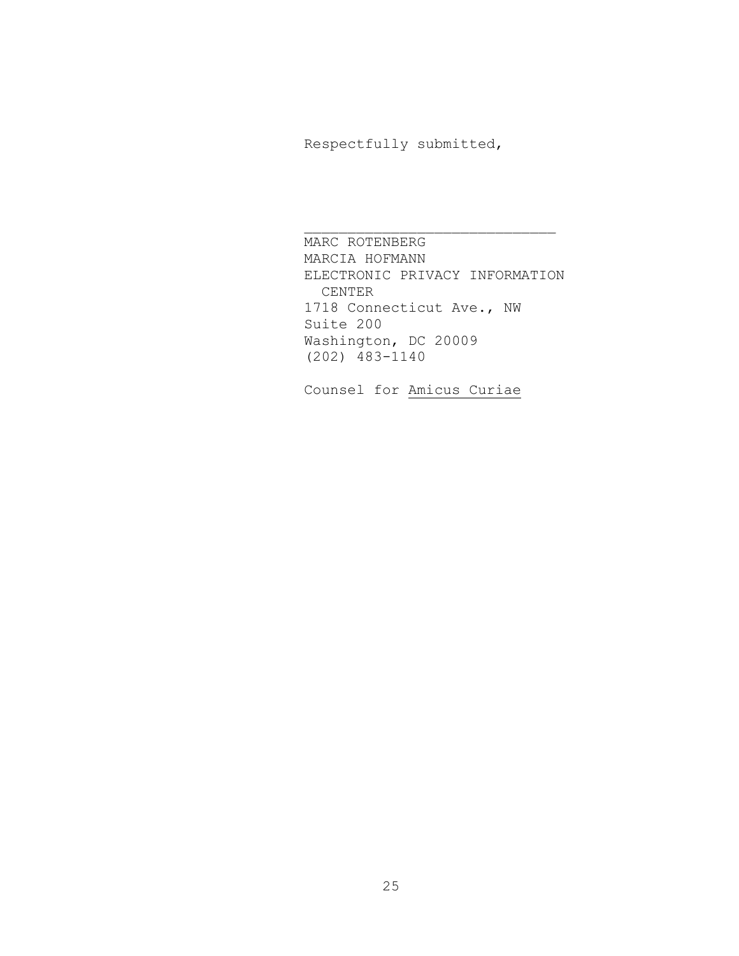Respectfully submitted,

MARC ROTENBERG MARCIA HOFMANN ELECTRONIC PRIVACY INFORMATION CENTER 1718 Connecticut Ave., NW Suite 200 Washington, DC 20009 (202) 483-1140

 $\overline{\phantom{a}}$  , where  $\overline{\phantom{a}}$  , where  $\overline{\phantom{a}}$  ,  $\overline{\phantom{a}}$  ,  $\overline{\phantom{a}}$  ,  $\overline{\phantom{a}}$  ,  $\overline{\phantom{a}}$  ,  $\overline{\phantom{a}}$  ,  $\overline{\phantom{a}}$  ,  $\overline{\phantom{a}}$  ,  $\overline{\phantom{a}}$  ,  $\overline{\phantom{a}}$  ,  $\overline{\phantom{a}}$  ,  $\overline{\phantom{a}}$  ,  $\overline{\phantom{a}}$  ,

Counsel for Amicus Curiae